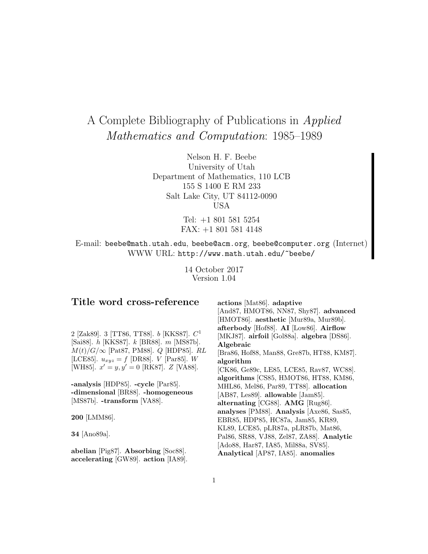# A Complete Bibliography of Publications in Applied Mathematics and Computation: 1985–1989

Nelson H. F. Beebe University of Utah Department of Mathematics, 110 LCB 155 S 1400 E RM 233 Salt Lake City, UT 84112-0090 USA

> Tel: +1 801 581 5254 FAX: +1 801 581 4148

E-mail: beebe@math.utah.edu, beebe@acm.org, beebe@computer.org (Internet) WWW URL: http://www.math.utah.edu/~beebe/

> 14 October 2017 Version 1.04

# **Title word cross-reference**

2 [Zak89]. 3 [TT86, TT88]. b [KKS87].  $C^1$ [Sai88]. h [KKS87]. k [BR88]. m [MS87b].  $M(t)/G/\infty$  [Pat87, PM88].  $Q$  [HDP85].  $RL$ [LCE85].  $u_{xyz} = f$  [DR88]. *V* [Par85]. *W* [WH85].  $x' = y, y' = 0$  [RK87]. Z [VA88].

**-analysis** [HDP85]. **-cycle** [Par85]. **-dimensional** [BR88]. **-homogeneous** [MS87b]. **-transform** [VA88].

**200** [LMM86].

**34** [Ano89a].

**abelian** [Pig87]. **Absorbing** [Soc88]. **accelerating** [GW89]. **action** [IA89].

**actions** [Mat86]. **adaptive** [And87, HMOT86, NN87, Shy87]. **advanced** [HMOT86]. **aesthetic** [Mur89a, Mur89b]. **afterbody** [Hof88]. **AI** [Low86]. **Airflow** [MKJ87]. **airfoil** [Gol88a]. **algebra** [DS86]. **Algebraic** [Bra86, Hof88, Man88, Gre87b, HT88, KM87]. **algorithm** [CK86, Ge89c, LE85, LCE85, Rav87, WC88]. **algorithms** [CS85, HMOT86, HT88, KM86, MHL86, Mel86, Par89, TT88]. **allocation** [AB87, Les89]. **allowable** [Jam85]. **alternating** [CG88]. **AMG** [Rug86]. **analyses** [PM88]. **Analysis** [Axe86, Sas85, EBR85, HDP85, HC87a, Jam85, KR89, KL89, LCE85, pLR87a, pLR87b, Mat86, Pal86, SR88, VJ88, Zel87, ZA88]. **Analytic** [Ado88, Har87, IA85, Mil88a, SV85]. **Analytical** [AP87, IA85]. **anomalies**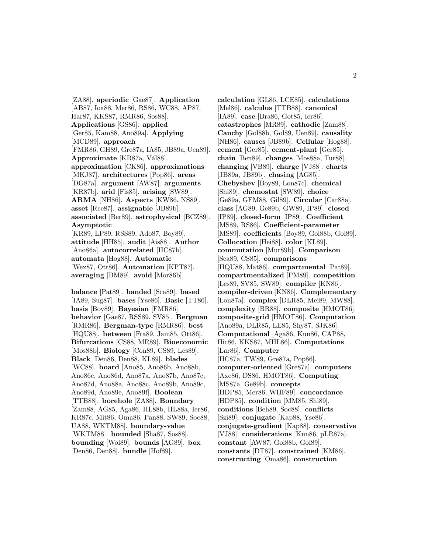[ZA88]. **aperiodic** [Gae87]. **Application** [AB87, Ioa88, Mer86, RS86, WC88, AP87, Har87, KKS87, RMR86, Sos88]. **Applications** [GS86]. **applied** [Ger85, Kam88, Ano89a]. **Applying** [MCD89]. **approach** [FMR86, GH89, Gre87a, IA85, JB89a, Uen89]. Approximate [KR87a, Vál88]. **approximation** [CK86]. **approximations** [MKJ87]. **architectures** [Pop86]. **areas** [DG87a]. **argument** [AW87]. **arguments** [KR87b]. **arid** [Fis85]. **arising** [SW89]. **ARMA** [NH86]. **Aspects** [KW86, NS89]. **asset** [Ree87]. **assignable** [JB89b]. **associated** [Ber89]. **astrophysical** [BCZ89]. **Asymptotic** [KR89, LP89, RSS89, Ado87, Boy89]. **attitude** [HH85]. **audit** [Ais88]. **Author** [Ano86a]. **autocorrelated** [HC87b]. **automata** [Hog88]. **Automatic** [Wex87, Ott86]. **Automation** [KPT87]. **averaging** [BM89]. **avoid** [Mor86b].

**balance** [Pat89]. **banded** [Sca89]. **based** [IA89, Sug87]. **bases** [Yse86]. **Basic** [TT86]. **basis** [Boy89]. **Bayesian** [FMR86]. **behavior** [Gae87, RSS89, SV85]. **Bergman** [RMR86]. **Bergman-type** [RMR86]. **best** [HQU88]. **between** [Fra89, Jam85, Ott86]. **Bifurcations** [CS88, MR89]. **Bioeconomic** [Mos88b]. **Biology** [Con89, CS89, Les89]. **Black** [Den86, Den88, KL89]. **blades** [WC88]. **board** [Ano85, Ano86b, Ano88b, Ano86c, Ano86d, Ano87a, Ano87b, Ano87c, Ano87d, Ano88a, Ano88c, Ano89b, Ano89c, Ano89d, Ano89e, Ano89f]. **Boolean** [TTB88]. **borehole** [ZA88]. **Boundary** [Zam88, AG85, Aga86, HL88b, HL88a, Ier86, KR87c, Mit86, Oma86, Pan88, SW89, Soc88, UA88, WKTM88]. **boundary-value** [WKTM88]. **bounded** [Sha87, Sos88]. **bounding** [Wol89]. **bounds** [AG89]. **box** [Den86, Den88]. **bundle** [Hof89].

**calculation** [GL86, LCE85]. **calculations** [Mel86]. **calculus** [TTB88]. **canonical** [IA89]. **case** [Bra86, Got85, Ier86]. **catastrophes** [MR89]. **cathodic** [Zam88]. **Cauchy** [Gol88b, Gol89, Uen89]. **causality** [NH86]. **causes** [JB89b]. **Cellular** [Hog88]. **cement** [Ger85]. **cement-plant** [Ger85]. **chain** [Ben89]. **changes** [Mos88a, Tur88]. **changing** [VB89]. **charge** [VJ88]. **charts** [JB89a, JB89b]. **chasing** [AG85]. **Chebyshev** [Boy89, Lon87c]. **chemical** [Shi89]. **chemostat** [SW89]. **choice** [Ge89a, GFM88, Gil89]. **Circular** [Car88a]. **class** [AG89, Ge89b, GW89, IP89]. **closed** [IP89]. **closed-form** [IP89]. **Coefficient** [MS89, RS86]. **Coefficient-parameter** [MS89]. **coefficients** [Boy89, Gol88b, Gol89]. **Collocation** [Hei88]. **color** [KL89]. **commutation** [Mur89b]. **Comparison** [Sca89, CS85]. **comparisons** [HQU88, Mat86]. **compartmental** [Pat89]. **compartmentalized** [PM89]. **competition** [Les89, SV85, SW89]. **compiler** [KN86]. **compiler-driven** [KN86]. **Complementary** [Lon87a]. **complex** [DLR85, Mei89, MW88]. **complexity** [BR88]. **composite** [HMOT86]. **composite-grid** [HMOT86]. **Computation** [Ano89a, DLR85, LE85, Shy87, SJK86]. **Computational** [Aga86, Kun86, CAP88, Hic86, KKS87, MHL86]. **Computations** [Lar86]. **Computer** [HC87a, TW89, Gre87a, Pop86]. **computer-oriented** [Gre87a]. **computers** [Axe86, DS86, HMOT86]. **Computing** [MS87a, Ge89b]. **concepts** [HDP85, Mer86, WHF89]. **concordance** [HDP85]. **condition** [MM85, Shi89]. **conditions** [Beh89, Soc88]. **conflicts** [Szi89]. **conjugate** [Kap88, Yse86]. **conjugate-gradient** [Kap88]. **conservative** [VJ88]. **considerations** [Kun86, pLR87a]. **constant** [AW87, Gol88b, Gol89]. **constants** [DT87]. **constrained** [KM86]. **constructing** [Oma86]. **construction**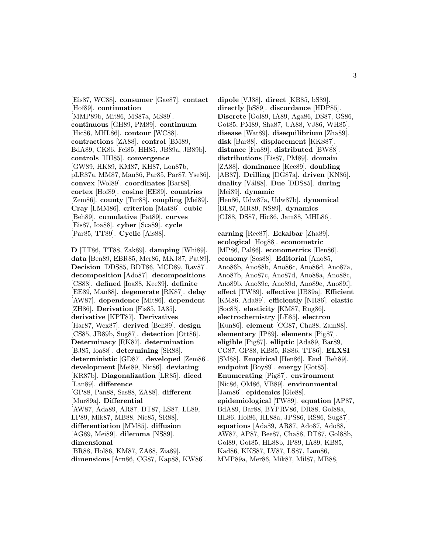[Eis87, WC88]. **consumer** [Gae87]. **contact** [Hof89]. **continuation** [MMP89b, Mit86, MS87a, MS89]. **continuous** [GH89, PM89]. **continuum** [Hic86, MHL86]. **contour** [WC88]. **contractions** [ZA88]. **control** [BM89, BdA89, CK86, Fei85, HH85, JB89a, JB89b]. **controls** [HH85]. **convergence** [GW89, HK89, KM87, KH87, Lon87b, pLR87a, MM87, Man86, Par85, Par87, Yse86]. **convex** [Wol89]. **coordinates** [Bar88]. **cortex** [Hof89]. **cosine** [EE89]. **countries** [Zem86]. **county** [Tur88]. **coupling** [Mei89]. **Cray** [LMM86]. **criterion** [Mat86]. **cubic** [Beh89]. **cumulative** [Pat89]. **curves** [Eis87, Ioa88]. **cyber** [Sca89]. **cycle** [Par85, TT89]. **Cyclic** [Ais88].

**D** [TT86, TT88, Zak89]. **damping** [Whi89]. **data** [Ben89, EBR85, Mer86, MKJ87, Pat89]. **Decision** [DDS85, BDT86, MCD89, Rav87]. **decomposition** [Ado87]. **decompositions** [CS88]. **defined** [Ioa88, Kee89]. **definite** [EE89, Man88]. **degenerate** [RK87]. **delay** [AW87]. **dependence** [Mit86]. **dependent** [ZH86]. **Derivation** [Fis85, IA85]. **derivative** [KPT87]. **Derivatives** [Har87, Wex87]. **derived** [Beh89]. **design** [CS85, JB89b, Sug87]. **detection** [Ott86]. **Determinacy** [RK87]. **determination** [BJ85, Ioa88]. **determining** [SR88]. **deterministic** [GD87]. **developed** [Zem86]. **development** [Mei89, Nic86]. **deviating** [KR87b]. **Diagonalization** [LR85]. **diced** [Lan89]. **difference** [GP88, Pan88, Sas88, ZA88]. **different** [Mur89a]. **Differential** [AW87, Ada89, AR87, DT87, LS87, LL89, LP89, Mik87, MB88, Nie85, SR88]. **differentiation** [MM85]. **diffusion** [AG89, Mei89]. **dilemma** [NS89]. **dimensional** [BR88, Hol86, KM87, ZA88, Zia89]. **dimensions** [Arn86, CG87, Kap88, KW86].

**dipole** [VJ88]. **direct** [KB85, bS89]. **directly** [bS89]. **discordance** [HDP85]. **Discrete** [Gol89, IA89, Aga86, DS87, GS86, Got85, PM89, Sha87, UA88, VJ86, WH85]. **disease** [Wat89]. **disequilibrium** [Zha89]. **disk** [Bar88]. **displacement** [KKS87]. **distance** [Fra89]. **distributed** [BW88]. **distributions** [Eis87, PM89]. **domain** [ZA88]. **dominance** [Kee89]. **doubling** [AB87]. **Drilling** [DG87a]. **driven** [KN86]. **duality** [V´al88]. **Due** [DDS85]. **during** [Mei89]. **dynamic** [Hen86, Udw87a, Udw87b]. **dynamical** [BL87, MR89, NS89]. **dynamics** [CJ88, DS87, Hic86, Jam88, MHL86].

**earning** [Ree87]. **Eckalbar** [Zha89]. **ecological** [Hog88]. **econometric** [MP86, Pal86]. **econometrics** [Hen86]. **economy** [Sos88]. **Editorial** [Ano85, Ano86b, Ano88b, Ano86c, Ano86d, Ano87a, Ano87b, Ano87c, Ano87d, Ano88a, Ano88c, Ano89b, Ano89c, Ano89d, Ano89e, Ano89f]. **effect** [TW89]. **effective** [JB89a]. **Efficient** [KM86, Ada89]. **efficiently** [NH86]. **elastic** [Soc88]. **elasticity** [KM87, Rug86]. **electrochemistry** [LE85]. **electron** [Kun86]. **element** [CG87, Cha88, Zam88]. **elementary** [IP89]. **elements** [Pig87]. **eligible** [Pig87]. **elliptic** [Ada89, Bar89, CG87, GP88, KB85, RS86, TT86]. **ELXSI** [SM88]. **Empirical** [Hen86]. **End** [Beh89]. **endpoint** [Boy89]. **energy** [Got85]. **Enumerating** [Pig87]. **environment** [Nic86, OM86, VB89]. **environmental** [Jam86]. **epidemics** [Gle88]. **epidemiological** [TW89]. **equation** [AP87, BdA89, Bar88, BYPRV86, DR88, Gol88a, HL86, Hol86, HL88a, JPS86, RS86, Sug87]. **equations** [Ada89, AR87, Ado87, Ado88, AW87, AP87, Bee87, Cha88, DT87, Gol88b, Gol89, Got85, HL88b, IP89, IA89, KB85, Kad86, KKS87, LV87, LS87, Lam86, MMP89a, Mer86, Mik87, Mil87, MB88,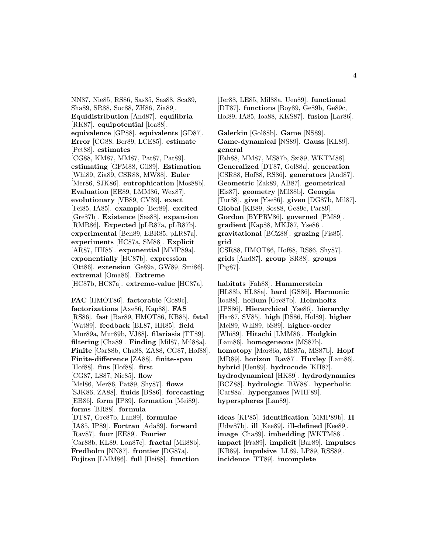NN87, Nie85, RS86, Sas85, Sas88, Sca89, Sha89, SR88, Soc88, ZH86, Zia89]. **Equidistribution** [And87]. **equilibria** [RK87]. **equipotential** [Ioa88]. **equivalence** [GP88]. **equivalents** [GD87]. **Error** [CG88, Ber89, LCE85]. **estimate** [Pet88]. **estimates** [CG88, KM87, MM87, Pat87, Pat89]. **estimating** [GFM88, Gil89]. **Estimation** [Whi89, Zia89, CSR88, MW88]. **Euler** [Mer86, SJK86]. **eutrophication** [Mos88b]. **Evaluation** [EE89, LMM86, Wex87]. **evolutionary** [VB89, CV89]. **exact** [Fei85, IA85]. **example** [Ber89]. **excited** [Gre87b]. **Existence** [Sas88]. **expansion** [RMR86]. **Expected** [pLR87a, pLR87b]. **experimental** [Ben89, EBR85, pLR87a]. **experiments** [HC87a, SM88]. **Explicit** [AR87, HH85]. **exponential** [MMP89a]. **exponentially** [HC87b]. **expression** [Ott86]. **extension** [Ge89a, GW89, Smi86]. **extremal** [Oma86]. **Extreme** [HC87b, HC87a]. **extreme-value** [HC87a].

**FAC** [HMOT86]. **factorable** [Ge89c]. **factorizations** [Axe86, Kap88]. **FAS** [RS86]. **fast** [Bar89, HMOT86, KB85]. **fatal** [Wat89]. **feedback** [BL87, HH85]. **field** [Mur89a, Mur89b, VJ88]. **filariasis** [TT89]. **filtering** [Cha89]. **Finding** [Mil87, Mil88a]. **Finite** [Car88b, Cha88, ZA88, CG87, Hof88]. **Finite-difference** [ZA88]. **finite-span** [Hof88]. **fins** [Hof88]. **first** [CG87, LS87, Nie85]. **flow** [Mel86, Mer86, Pat89, Shy87]. **flows** [SJK86, ZA88]. **fluids** [BS86]. **forecasting** [EB86]. **form** [IP89]. **formation** [Mei89]. **forms** [BR88]. **formula** [DT87, Gre87b, Lan89]. **formulae** [IA85, IP89]. **Fortran** [Ada89]. **forward** [Rav87]. **four** [EE89]. **Fourier** [Car88b, KL89, Lon87c]. **fractal** [Mil88b]. **Fredholm** [NN87]. **frontier** [DG87a]. **Fujitsu** [LMM86]. **full** [Hei88]. **function**

[Jer88, LE85, Mil88a, Uen89]. **functional** [DT87]. **functions** [Boy89, Ge89b, Ge89c, Hol89, IA85, Ioa88, KKS87]. **fusion** [Lar86].

**Galerkin** [Gol88b]. **Game** [NS89]. **Game-dynamical** [NS89]. **Gauss** [KL89]. **general** [Fah88, MM87, MS87b, Szi89, WKTM88].

**Generalized** [DT87, Gol88a]. **generation** [CSR88, Hof88, RS86]. **generators** [And87]. **Geometric** [Zak89, AB87]. **geometrical** [Eis87]. **geometry** [Mil88b]. **Georgia** [Tur88]. **give** [Yse86]. **given** [DG87b, Mil87]. **Global** [KB89, Sos88, Ge89c, Par89]. **Gordon** [BYPRV86]. **governed** [PM89]. **gradient** [Kap88, MKJ87, Yse86]. **gravitational** [BCZ88]. **grazing** [Fis85]. **grid** [CSR88, HMOT86, Hof88, RS86, Shy87].

**grids** [And87]. **group** [SR88]. **groups** [Pig87].

**habitats** [Fah88]. **Hammerstein** [HL88b, HL88a]. **hard** [GS86]. **Harmonic** [Ioa88]. **helium** [Gre87b]. **Helmholtz** [JPS86]. **Hierarchical** [Yse86]. **hierarchy** [Har87, SV85]. **high** [DS86, Hol89]. **higher** [Mei89, Whi89, bS89]. **higher-order** [Whi89]. **Hitachi** [LMM86]. **Hodgkin** [Lam86]. **homogeneous** [MS87b]. **homotopy** [Mor86a, MS87a, MS87b]. **Hopf** [MR89]. **horizon** [Rav87]. **Huxley** [Lam86]. **hybrid** [Uen89]. **hydrocode** [KH87]. **hydrodynamical** [HK89]. **hydrodynamics** [BCZ88]. **hydrologic** [BW88]. **hyperbolic** [Car88a]. **hypergames** [WHF89]. **hyperspheres** [Lan89].

**ideas** [KP85]. **identification** [MMP89b]. **II** [Udw87b]. **ill** [Kee89]. **ill-defined** [Kee89]. **image** [Cha89]. **imbedding** [WKTM88]. **impact** [Fra89]. **implicit** [Bar89]. **impulses** [KB89]. **impulsive** [LL89, LP89, RSS89]. **incidence** [TT89]. **incomplete**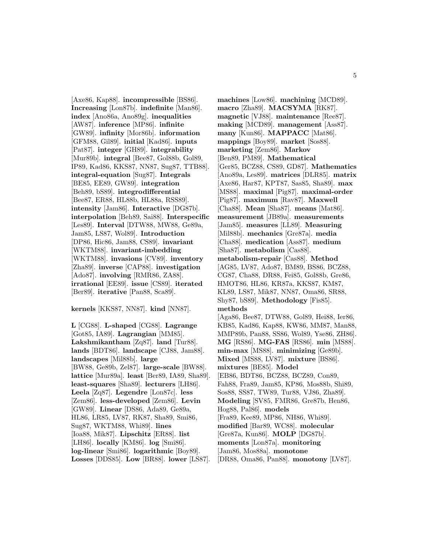[Axe86, Kap88]. **incompressible** [BS86]. **Increasing** [Lon87b]. **indefinite** [Man86]. **index** [Ano86a, Ano89g]. **inequalities** [AW87]. **inference** [MP86]. **infinite** [GW89]. **infinity** [Mor86b]. **information** [GFM88, Gil89]. **initial** [Kad86]. **inputs** [Pat87]. **integer** [GH89]. **integrability** [Mur89b]. **integral** [Bee87, Gol88b, Gol89, IP89, Kad86, KKS87, NN87, Sug87, TTB88]. **integral-equation** [Sug87]. **Integrals** [BE85, EE89, GW89]. **integration** [Beh89, bS89]. **integrodifferential** [Bee87, ER88, HL88b, HL88a, RSS89]. **intensity** [Jam86]. **Interactive** [DG87b]. **interpolation** [Beh89, Sai88]. **Interspecific** [Les89]. **Interval** [DTW88, MW88, Ge89a, Jam85, LS87, Wol89]. **Introduction** [DP86, Hic86, Jam88, CS89]. **invariant** [WKTM88]. **invariant-imbedding** [WKTM88]. **invasions** [CV89]. **inventory** [Zha89]. **inverse** [CAP88]. **investigation** [Ado87]. **involving** [RMR86, ZA88]. **irrational** [EE89]. **issue** [CS89]. **iterated** [Ber89]. **iterative** [Pan88, Sca89].

**kernels** [KKS87, NN87]. **kind** [NN87].

**L** [CG88]. **L-shaped** [CG88]. **Lagrange** [Got85, IA89]. **Lagrangian** [MM85]. **Lakshmikantham** [Zq87]. **land** [Tur88]. **lands** [BDT86]. **landscape** [CJ88, Jam88]. **landscapes** [Mil88b]. **large** [BW88, Ge89b, Zel87]. **large-scale** [BW88]. **lattice** [Mur89a]. **least** [Ber89, IA89, Sha89]. **least-squares** [Sha89]. **lecturers** [LH86]. **Leela** [Zq87]. **Legendre** [Lon87c]. **less** [Zem86]. **less-developed** [Zem86]. **Levin** [GW89]. **Linear** [DS86, Ada89, Ge89a, HL86, LR85, LV87, RK87, Sha89, Smi86, Sug87, WKTM88, Whi89]. **lines** [Ioa88, Mik87]. **Lipschitz** [ER88]. **list** [LH86]. **locally** [KM86]. **log** [Smi86]. **log-linear** [Smi86]. **logarithmic** [Boy89]. **Losses** [DDS85]. **Low** [BR88]. **lower** [LS87]. **machines** [Low86]. **machining** [MCD89]. **macro** [Zha89]. **MACSYMA** [RK87]. **magnetic** [VJ88]. **maintenance** [Ree87]. **making** [MCD89]. **management** [Ass87]. **many** [Kun86]. **MAPPACC** [Mat86]. **mappings** [Boy89]. **market** [Sos88]. **marketing** [Zem86]. **Markov** [Ben89, PM89]. **Mathematical** [Ger85, BCZ88, CS89, GD87]. **Mathematics** [Ano89a, Les89]. **matrices** [DLR85]. **matrix** [Axe86, Har87, KPT87, Sas85, Sha89]. **max** [MS88]. **maximal** [Pig87]. **maximal-order** [Pig87]. **maximum** [Rav87]. **Maxwell** [Cha88]. **Mean** [Sha87]. **means** [Mat86]. **measurement** [JB89a]. **measurements** [Jam85]. **measures** [LL89]. **Measuring** [Mil88b]. **mechanics** [Gre87a]. **media** [Cha88]. **medication** [Ass87]. **medium** [Sha87]. **metabolism** [Cas88]. **metabolism-repair** [Cas88]. **Method** [AG85, LV87, Ado87, BM89, BS86, BCZ88, CG87, Cha88, DR88, Fei85, Gol88b, Gre86, HMOT86, HL86, KR87a, KKS87, KM87, KL89, LS87, Mik87, NN87, Oma86, SR88, Shy87, bS89]. **Methodology** [Fis85]. **methods** [Aga86, Bee87, DTW88, Gol89, Hei88, Ier86, KB85, Kad86, Kap88, KW86, MM87, Man88, MMP89b, Pan88, SS86, Wol89, Yse86, ZH86]. **MG** [RS86]. **MG-FAS** [RS86]. **min** [MS88]. **min-max** [MS88]. **minimizing** [Ge89b]. **Mixed** [MS88, LV87]. **mixture** [BS86]. **mixtures** [BE85]. **Model** [EB86, BDT86, BCZ88, BCZ89, Con89, Fah88, Fra89, Jam85, KP86, Mos88b, Shi89, Sos88, SS87, TW89, Tur88, VJ86, Zha89]. **Modeling** [SV85, FMR86, Gre87b, Hen86, Hog88, Pal86]. **models** [Fra89, Kee89, MP86, NH86, Whi89]. **modified** [Bar89, WC88]. **molecular** [Gre87a, Kun86]. **MOLP** [DG87b]. **moments** [Lon87a]. **monitoring** [Jam86, Mos88a]. **monotone** [DR88, Oma86, Pan88]. **monotony** [LV87].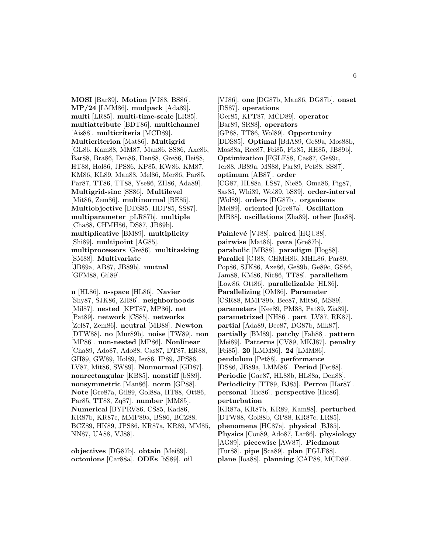**MOSI** [Bar89]. **Motion** [VJ88, BS86]. **MP/24** [LMM86]. **mudpack** [Ada89]. **multi** [LR85]. **multi-time-scale** [LR85]. **multiattribute** [BDT86]. **multichannel** [Ais88]. **multicriteria** [MCD89]. **Multicriterion** [Mat86]. **Multigrid** [GL86, Kam88, MM87, Man86, SS86, Axe86, Bar88, Bra86, Den86, Den88, Gre86, Hei88, HT88, Hol86, JPS86, KP85, KW86, KM87, KM86, KL89, Man88, Mel86, Mer86, Par85, Par87, TT86, TT88, Yse86, ZH86, Ada89]. **Multigrid-sinc** [SS86]. **Multilevel** [Mit86, Zem86]. **multinormal** [BE85]. **Multiobjective** [DDS85, HDP85, SS87]. **multiparameter** [pLR87b]. **multiple** [Cha88, CHMH86, DS87, JB89b]. **multiplicative** [BM89]. **multiplicity** [Shi89]. **multipoint** [AG85]. **multiprocessors** [Gre86]. **multitasking** [SM88]. **Multivariate** [JB89a, AB87, JB89b]. **mutual** [GFM88, Gil89].

**n** [HL86]. **n-space** [HL86]. **Navier** [Shy87, SJK86, ZH86]. **neighborhoods** [Mil87]. **nested** [KPT87, MP86]. **net** [Pat89]. **network** [CS85]. **networks** [Zel87, Zem86]. **neutral** [MB88]. **Newton** [DTW88]. **no** [Mur89b]. **noise** [TW89]. **non** [MP86]. **non-nested** [MP86]. **Nonlinear** [Cha89, Ado87, Ado88, Cas87, DT87, ER88, GH89, GW89, Hol89, Ier86, IP89, JPS86, LV87, Mit86, SW89]. **Nonnormal** [GD87]. **nonrectangular** [KB85]. **nonstiff** [bS89]. **nonsymmetric** [Man86]. **norm** [GP88]. **Note** [Gre87a, Gil89, Gol88a, HT88, Ott86, Par85, TT88, Zq87]. **number** [MM85]. **Numerical** [BYPRV86, CS85, Kad86, KR87b, KR87c, MMP89a, BS86, BCZ88, BCZ89, HK89, JPS86, KR87a, KR89, MM85, NN87, UA88, VJ88].

**objectives** [DG87b]. **obtain** [Mei89]. **octonions** [Car88a]. **ODEs** [bS89]. **oil**

[VJ86]. **one** [DG87b, Man86, DG87b]. **onset** [DS87]. **operations** [Ger85, KPT87, MCD89]. **operator** [Bar89, SR88]. **operators** [GP88, TT86, Wol89]. **Opportunity** [DDS85]. **Optimal** [BdA89, Ge89a, Mos88b, Mos88a, Ree87, Fei85, Fis85, HH85, JB89b]. **Optimization** [FGLF88, Cas87, Ge89c, Jer88, JB89a, MS88, Par89, Pet88, SS87]. **optimum** [AB87]. **order** [CG87, HL88a, LS87, Nie85, Oma86, Pig87, Sas85, Whi89, Wol89, bS89]. **order-interval** [Wol89]. **orders** [DG87b]. **organisms** [Mei89]. **oriented** [Gre87a]. **Oscillation** [MB88]. **oscillations** [Zha89]. **other** [Ioa88].

**Painlevé** [VJ88]. **paired** [HQU88]. **pairwise** [Mat86]. **para** [Gre87b]. **parabolic** [MB88]. **paradigm** [Hog88]. **Parallel** [CJ88, CHMH86, MHL86, Par89, Pop86, SJK86, Axe86, Ge89b, Ge89c, GS86, Jam88, KM86, Nic86, TT88]. **parallelism** [Low86, Ott86]. **parallelizable** [HL86]. **Parallelizing** [OM86]. **Parameter** [CSR88, MMP89b, Bee87, Mit86, MS89]. **parameters** [Kee89, PM88, Pat89, Zia89]. **parametrized** [NH86]. **part** [LV87, RK87]. **partial** [Ada89, Bee87, DG87b, Mik87]. **partially** [BM89]. **patchy** [Fah88]. **pattern** [Mei89]. **Patterns** [CV89, MKJ87]. **penalty** [Fei85]. **20** [LMM86]. **24** [LMM86]. **pendulum** [Pet88]. **performance** [DS86, JB89a, LMM86]. **Period** [Pet88]. **Periodic** [Gae87, HL88b, HL88a, Den88]. **Periodicity** [TT89, BJ85]. **Perron** [Har87]. **personal** [Hic86]. **perspective** [Hic86]. **perturbation** [KR87a, KR87b, KR89, Kam88]. **perturbed** [DTW88, Gol88b, GP88, KR87c, LR85]. **phenomena** [HC87a]. **physical** [BJ85]. **Physics** [Con89, Ado87, Lar86]. **physiology** [AG89]. **piecewise** [AW87]. **Piedmont** [Tur88]. **pipe** [Sca89]. **plan** [FGLF88].

**plane** [Ioa88]. **planning** [CAP88, MCD89].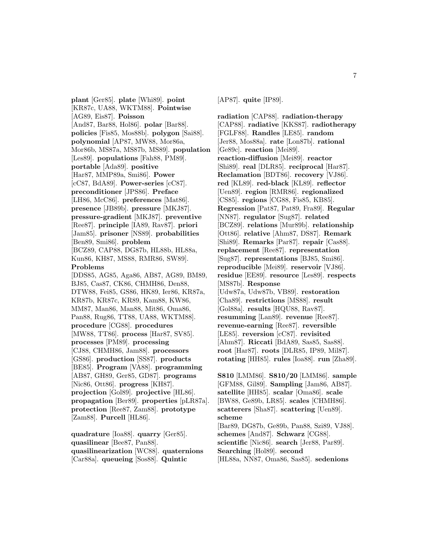**plant** [Ger85]. **plate** [Whi89]. **point** [KR87c, UA88, WKTM88]. **Pointwise** [AG89, Eis87]. **Poisson** [And87, Bar88, Hol86]. **polar** [Bar88]. **policies** [Fis85, Mos88b]. **polygon** [Sai88]. **polynomial** [AP87, MW88, Mor86a, Mor86b, MS87a, MS87b, MS89]. **population** [Les89]. **populations** [Fah88, PM89]. **portable** [Ada89]. **positive** [Har87, MMP89a, Smi86]. **Power** [cC87, BdA89]. **Power-series** [cC87]. **preconditioner** [JPS86]. **Preface** [LH86, McC86]. **preferences** [Mat86]. **presence** [JB89b]. **pressure** [MKJ87]. **pressure-gradient** [MKJ87]. **preventive** [Ree87]. **principle** [IA89, Rav87]. **priori** [Jam85]. **prisoner** [NS89]. **probabilities** [Ben89, Smi86]. **problem** [BCZ89, CAP88, DG87b, HL88b, HL88a, Kun86, KH87, MS88, RMR86, SW89]. **Problems** [DDS85, AG85, Aga86, AB87, AG89, BM89, BJ85, Cas87, CK86, CHMH86, Den88, DTW88, Fei85, GS86, HK89, Ier86, KR87a, KR87b, KR87c, KR89, Kam88, KW86, MM87, Man86, Man88, Mit86, Oma86, Pan88, Rug86, TT88, UA88, WKTM88]. **procedure** [CG88]. **procedures** [MW88, TT86]. **process** [Har87, SV85]. **processes** [PM89]. **processing** [CJ88, CHMH86, Jam88]. **processors** [GS86]. **production** [SS87]. **products** [BE85]. **Program** [VA88]. **programming** [AB87, GH89, Ger85, GD87]. **programs** [Nic86, Ott86]. **progress** [KH87]. **projection** [Gol89]. **projective** [HL86]. **propagation** [Ber89]. **properties** [pLR87a]. **protection** [Ree87, Zam88]. **prototype** [Zam88]. **Purcell** [HL86].

**quadrature** [Ioa88]. **quarry** [Ger85]. **quasilinear** [Bee87, Pan88]. **quasilinearization** [WC88]. **quaternions** [Car88a]. **queueing** [Sos88]. **Quintic**

[AP87]. **quite** [IP89].

**radiation** [CAP88]. **radiation-therapy** [CAP88]. **radiative** [KKS87]. **radiotherapy** [FGLF88]. **Randles** [LE85]. **random** [Jer88, Mos88a]. **rate** [Lon87b]. **rational** [Ge89c]. **reaction** [Mei89]. **reaction-diffusion** [Mei89]. **reactor** [Shi89]. **real** [DLR85]. **reciprocal** [Har87]. **Reclamation** [BDT86]. **recovery** [VJ86]. **red** [KL89]. **red-black** [KL89]. **reflector** [Uen89]. **region** [RMR86]. **regionalized** [CS85]. **regions** [CG88, Fis85, KB85]. **Regression** [Pat87, Pat89, Fra89]. **Regular** [NN87]. **regulator** [Sug87]. **related** [BCZ89]. **relations** [Mur89b]. **relationship** [Ott86]. **relative** [Ahm87, DS87]. **Remark** [Shi89]. **Remarks** [Par87]. **repair** [Cas88]. **replacement** [Ree87]. **representation** [Sug87]. **representations** [BJ85, Smi86]. **reproducible** [Mei89]. **reservoir** [VJ86]. **residue** [EE89]. **resource** [Les89]. **respects** [MS87b]. **Response** [Udw87a, Udw87b, VB89]. **restoration** [Cha89]. **restrictions** [MS88]. **result** [Gol88a]. **results** [HQU88, Rav87]. **resumming** [Lan89]. **revenue** [Ree87]. **revenue-earning** [Ree87]. **reversible** [LE85]. **reversion** [cC87]. **revisited** [Ahm87]. **Riccati** [BdA89, Sas85, Sas88]. **root** [Har87]. **roots** [DLR85, IP89, Mil87]. **rotating** [HH85]. **rules** [Ioa88]. **run** [Zha89].

**S810** [LMM86]. **S810/20** [LMM86]. **sample** [GFM88, Gil89]. **Sampling** [Jam86, AB87]. **satellite** [HH85]. **scalar** [Oma86]. **scale** [BW88, Ge89b, LR85]. **scales** [CHMH86]. **scatterers** [Sha87]. **scattering** [Uen89]. **scheme** [Bar89, DG87b, Ge89b, Pan88, Szi89, VJ88]. **schemes** [And87]. **Schwarz** [CG88]. **scientific** [Nic86]. **search** [Jer88, Par89]. **Searching** [Hol89]. **second** [HL88a, NN87, Oma86, Sas85]. **sedenions**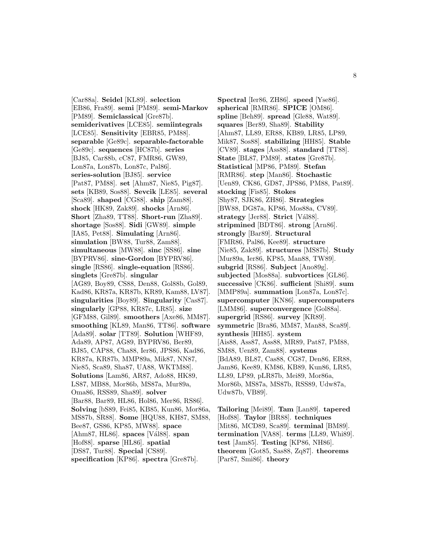[Car88a]. **Seidel** [KL89]. **selection** [EB86, Fra89]. **semi** [PM89]. **semi-Markov** [PM89]. **Semiclassical** [Gre87b]. **semiderivatives** [LCE85]. **semiintegrals** [LCE85]. **Sensitivity** [EBR85, PM88]. **separable** [Ge89c]. **separable-factorable** [Ge89c]. **sequences** [HC87b]. **series** [BJ85, Car88b, cC87, FMR86, GW89, Lon87a, Lon87b, Lon87c, Pal86]. **series-solution** [BJ85]. **service** [Pat87, PM88]. **set** [Ahm87, Nie85, Pig87]. **sets** [KB89, Sos88]. **Sevcik** [LE85]. **several** [Sca89]. **shaped** [CG88]. **ship** [Zam88]. **shock** [HK89, Zak89]. **shocks** [Arn86]. **Short** [Zha89, TT88]. **Short-run** [Zha89]. **shortage** [Sos88]. **Sidi** [GW89]. **simple** [IA85, Pet88]. **Simulating** [Arn86]. simulation [BW88, Tur88, Zam88]. **simultaneous** [MW88]. **sinc** [SS86]. **sine** [BYPRV86]. **sine-Gordon** [BYPRV86]. **single** [RS86]. **single-equation** [RS86]. **singlets** [Gre87b]. **singular** [AG89, Boy89, CS88, Den88, Gol88b, Gol89, Kad86, KR87a, KR87b, KR89, Kam88, LV87]. **singularities** [Boy89]. **Singularity** [Cas87]. **singularly** [GP88, KR87c, LR85]. **size** [GFM88, Gil89]. **smoothers** [Axe86, MM87]. **smoothing** [KL89, Man86, TT86]. **software** [Ada89]. **solar** [TT89]. **Solution** [WHF89, Ada89, AP87, AG89, BYPRV86, Ber89, BJ85, CAP88, Cha88, Ier86, JPS86, Kad86, KR87a, KR87b, MMP89a, Mik87, NN87, Nie85, Sca89, Sha87, UA88, WKTM88]. **Solutions** [Lam86, AR87, Ado88, HK89, LS87, MB88, Mor86b, MS87a, Mur89a, Oma86, RSS89, Sha89]. **solver** [Bar88, Bar89, HL86, Hol86, Mer86, RS86]. **Solving** [bS89, Fei85, KB85, Kun86, Mor86a, MS87b, SR88]. **Some** [HQU88, KH87, SM88, Bee87, GS86, KP85, MW88]. **space** [Ahm87, HL86]. **spaces** [V´al88]. **span** [Hof88]. **sparse** [HL86]. **spatial** [DS87, Tur88]. **Special** [CS89]. **specification** [KP86]. **spectra** [Gre87b].

**Spectral** [Ier86, ZH86]. **speed** [Yse86]. **spherical** [RMR86]. **SPICE** [OM86]. **spline** [Beh89]. **spread** [Gle88, Wat89]. **squares** [Ber89, Sha89]. **Stability** [Ahm87, LL89, ER88, KB89, LR85, LP89, Mik87, Sos88]. **stabilizing** [HH85]. **Stable** [CV89]. **stages** [Ass88]. **standard** [TT88]. **State** [BL87, PM89]. **states** [Gre87b]. **Statistical** [MP86, PM89]. **Stefan** [RMR86]. **step** [Man86]. **Stochastic** [Uen89, CK86, GD87, JPS86, PM88, Pat89]. **stocking** [Fis85]. **Stokes** [Shy87, SJK86, ZH86]. **Strategies** [BW88, DG87a, KP86, Mos88a, CV89]. **strategy** [Jer88]. **Strict** [Vál88]. **stripmined** [BDT86]. **strong** [Arn86]. **strongly** [Bar89]. **Structural** [FMR86, Pal86, Kee89]. **structure** [Nie85, Zak89]. **structures** [MS87b]. **Study** [Mur89a, Ier86, KP85, Man88, TW89]. **subgrid** [RS86]. **Subject** [Ano89g]. **subjected** [Mos88a]. **subvortices** [GL86]. **successive** [CK86]. **sufficient** [Shi89]. **sum** [MMP89a]. **summation** [Lon87a, Lon87c]. **supercomputer** [KN86]. **supercomputers** [LMM86]. **superconvergence** [Gol88a]. **supergrid** [RS86]. **survey** [KR89]. **symmetric** [Bra86, MM87, Man88, Sca89]. **synthesis** [HH85]. **system** [Ais88, Ass87, Ass88, MR89, Pat87, PM88, SM88, Uen89, Zam88]. **systems** [BdA89, BL87, Cas88, CG87, Den86, ER88, Jam86, Kee89, KM86, KB89, Kun86, LR85, LL89, LP89, pLR87b, Mei89, Mor86a, Mor86b, MS87a, MS87b, RSS89, Udw87a, Udw87b, VB89].

**Tailoring** [Mei89]. **Tam** [Lan89]. **tapered** [Hof88]. **Taylor** [BR88]. **techniques** [Mit86, MCD89, Sca89]. **terminal** [BM89]. **termination** [VA88]. **terms** [LL89, Whi89]. **test** [Jam85]. **Testing** [KP86, NH86]. **theorem** [Got85, Sas88, Zq87]. **theorems** [Par87, Smi86]. **theory**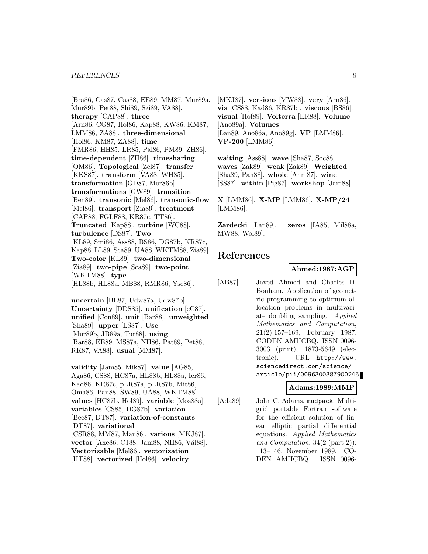#### *REFERENCES* 9

[Bra86, Cas87, Cas88, EE89, MM87, Mur89a, Mur89b, Pet88, Shi89, Szi89, VA88]. **therapy** [CAP88]. **three** [Arn86, CG87, Hol86, Kap88, KW86, KM87, LMM86, ZA88]. **three-dimensional** [Hol86, KM87, ZA88]. **time** [FMR86, HH85, LR85, Pal86, PM89, ZH86]. **time-dependent** [ZH86]. **timesharing** [OM86]. **Topological** [Zel87]. **transfer** [KKS87]. **transform** [VA88, WH85]. **transformation** [GD87, Mor86b]. **transformations** [GW89]. **transition** [Ben89]. **transonic** [Mel86]. **transonic-flow** [Mel86]. **transport** [Zia89]. **treatment** [CAP88, FGLF88, KR87c, TT86]. **Truncated** [Kap88]. **turbine** [WC88]. **turbulence** [DS87]. **Two** [KL89, Smi86, Ass88, BS86, DG87b, KR87c, Kap88, LL89, Sca89, UA88, WKTM88, Zia89]. **Two-color** [KL89]. **two-dimensional** [Zia89]. **two-pipe** [Sca89]. **two-point** [WKTM88]. **type** [HL88b, HL88a, MB88, RMR86, Yse86].

**uncertain** [BL87, Udw87a, Udw87b]. **Uncertainty** [DDS85]. **unification** [cC87]. **unified** [Con89]. **unit** [Bar88]. **unweighted** [Sha89]. **upper** [LS87]. **Use** [Mur89b, JB89a, Tur88]. **using** [Bar88, EE89, MS87a, NH86, Pat89, Pet88, RK87, VA88]. **usual** [MM87].

**validity** [Jam85, Mik87]. **value** [AG85, Aga86, CS88, HC87a, HL88b, HL88a, Ier86, Kad86, KR87c, pLR87a, pLR87b, Mit86, Oma86, Pan88, SW89, UA88, WKTM88]. **values** [HC87b, Hol89]. **variable** [Mos88a]. **variables** [CS85, DG87b]. **variation** [Bee87, DT87]. **variation-of-constants** [DT87]. **variational** [CSR88, MM87, Man86]. **various** [MKJ87]. **vector** [Axe86, CJ88, Jam88, NH86, Vál88]. **Vectorizable** [Mel86]. **vectorization** [HT88]. **vectorized** [Hol86]. **velocity**

[MKJ87]. **versions** [MW88]. **very** [Arn86]. **via** [CS88, Kad86, KR87b]. **viscous** [BS86]. **visual** [Hof89]. **Volterra** [ER88]. **Volume** [Ano89a]. **Volumes** [Lan89, Ano86a, Ano89g]. **VP** [LMM86]. **VP-200** [LMM86].

**waiting** [Ass88]. **wave** [Sha87, Soc88]. **waves** [Zak89]. **weak** [Zak89]. **Weighted** [Sha89, Pan88]. **whole** [Ahm87]. **wine** [SS87]. **within** [Pig87]. **workshop** [Jam88].

**X** [LMM86]. **X-MP** [LMM86]. **X-MP/24** [LMM86].

**Zardecki** [Lan89]. **zeros** [IA85, Mil88a, MW88, Wol89].

# **References**

#### **Ahmed:1987:AGP**

[AB87] Javed Ahmed and Charles D. Bonham. Application of geometric programming to optimum allocation problems in multivariate doubling sampling. Applied Mathematics and Computation, 21(2):157–169, February 1987. CODEN AMHCBQ. ISSN 0096- 3003 (print), 1873-5649 (electronic). URL http://www. sciencedirect.com/science/ article/pii/0096300387900245.

### **Adams:1989:MMP**

[Ada89] John C. Adams. mudpack: Multigrid portable Fortran software for the efficient solution of linear elliptic partial differential equations. Applied Mathematics and Computation, 34(2 (part 2)): 113–146, November 1989. CO-DEN AMHCBQ. ISSN 0096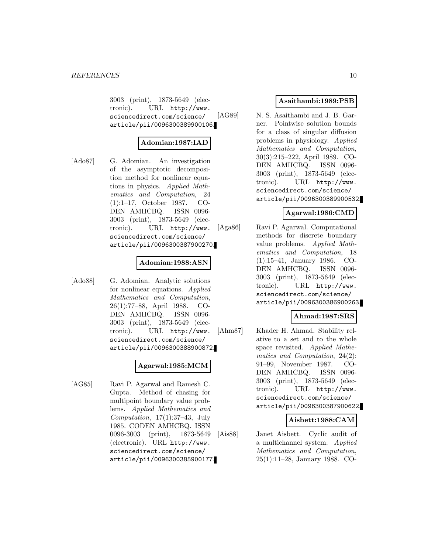3003 (print), 1873-5649 (electronic). URL http://www. sciencedirect.com/science/ article/pii/0096300389900106.

### **Adomian:1987:IAD**

[Ado87] G. Adomian. An investigation of the asymptotic decomposition method for nonlinear equations in physics. Applied Mathematics and Computation, 24 (1):1–17, October 1987. CO-DEN AMHCBQ. ISSN 0096- 3003 (print), 1873-5649 (electronic). URL http://www. sciencedirect.com/science/ article/pii/0096300387900270.

### **Adomian:1988:ASN**

[Ado88] G. Adomian. Analytic solutions for nonlinear equations. Applied Mathematics and Computation, 26(1):77–88, April 1988. CO-DEN AMHCBQ. ISSN 0096- 3003 (print), 1873-5649 (electronic). URL http://www. sciencedirect.com/science/ article/pii/0096300388900872.

#### **Agarwal:1985:MCM**

[AG85] Ravi P. Agarwal and Ramesh C. Gupta. Method of chasing for multipoint boundary value problems. Applied Mathematics and Computation,  $17(1):37-43$ , July 1985. CODEN AMHCBQ. ISSN 0096-3003 (print), 1873-5649 (electronic). URL http://www. sciencedirect.com/science/ article/pii/0096300385900177.

### **Asaithambi:1989:PSB**

[AG89] N. S. Asaithambi and J. B. Garner. Pointwise solution bounds for a class of singular diffusion problems in physiology. Applied Mathematics and Computation, 30(3):215–222, April 1989. CO-DEN AMHCBQ. ISSN 0096- 3003 (print), 1873-5649 (electronic). URL http://www. sciencedirect.com/science/ article/pii/0096300389900532.

### **Agarwal:1986:CMD**

[Aga86] Ravi P. Agarwal. Computational methods for discrete boundary value problems. Applied Mathematics and Computation, 18 (1):15–41, January 1986. CO-DEN AMHCBQ. ISSN 0096- 3003 (print), 1873-5649 (electronic). URL http://www. sciencedirect.com/science/ article/pii/0096300386900263.

### **Ahmad:1987:SRS**

[Ahm87] Khader H. Ahmad. Stability relative to a set and to the whole space revisited. Applied Mathematics and Computation, 24(2): 91–99, November 1987. CO-DEN AMHCBQ. ISSN 0096- 3003 (print), 1873-5649 (electronic). URL http://www. sciencedirect.com/science/ article/pii/0096300387900622.

### **Aisbett:1988:CAM**

[Ais88] Janet Aisbett. Cyclic audit of a multichannel system. Applied Mathematics and Computation, 25(1):11–28, January 1988. CO-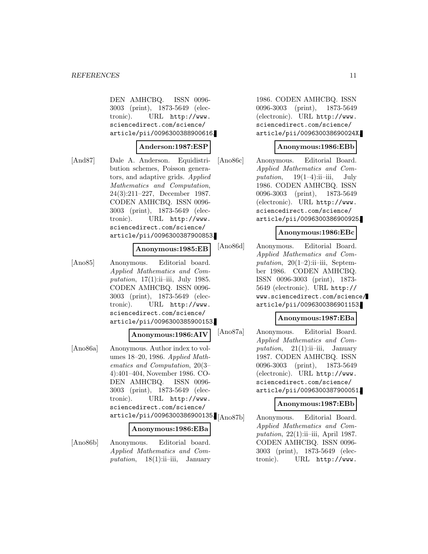DEN AMHCBQ. ISSN 0096- 3003 (print), 1873-5649 (electronic). URL http://www. sciencedirect.com/science/ article/pii/0096300388900616.

#### **Anderson:1987:ESP**

[And87] Dale A. Anderson. Equidistribution schemes, Poisson generators, and adaptive grids. Applied Mathematics and Computation, 24(3):211–227, December 1987. CODEN AMHCBQ. ISSN 0096- 3003 (print), 1873-5649 (electronic). URL http://www. sciencedirect.com/science/ article/pii/0096300387900853.

#### **Anonymous:1985:EB**

[Ano85] Anonymous. Editorial board. Applied Mathematics and Computation,  $17(1)$ :ii-iii, July 1985. CODEN AMHCBQ. ISSN 0096- 3003 (print), 1873-5649 (electronic). URL http://www. sciencedirect.com/science/ article/pii/0096300385900153.

#### **Anonymous:1986:AIV**

[Ano86a] Anonymous. Author index to volumes 18–20, 1986. Applied Mathematics and Computation, 20(3– 4):401–404, November 1986. CO-DEN AMHCBQ. ISSN 0096- 3003 (print), 1873-5649 (electronic). URL http://www. sciencedirect.com/science/ article/pii/0096300386900135.[Ano87b]

#### **Anonymous:1986:EBa**

[Ano86b] Anonymous. Editorial board. Applied Mathematics and Computation,  $18(1)$ :ii–iii, January

1986. CODEN AMHCBQ. ISSN 0096-3003 (print), 1873-5649 (electronic). URL http://www. sciencedirect.com/science/ article/pii/009630038690024X.

#### **Anonymous:1986:EBb**

[Ano86c] Anonymous. Editorial Board. Applied Mathematics and Computation,  $19(1-4)$ :ii–iii, July 1986. CODEN AMHCBQ. ISSN 0096-3003 (print), 1873-5649 (electronic). URL http://www. sciencedirect.com/science/ article/pii/0096300386900925.

#### **Anonymous:1986:EBc**

[Ano86d] Anonymous. Editorial Board. Applied Mathematics and Computation,  $20(1-2)$ :ii-iii, September 1986. CODEN AMHCBQ. ISSN 0096-3003 (print), 1873- 5649 (electronic). URL http:// www.sciencedirect.com/science/ article/pii/0096300386901153.

#### **Anonymous:1987:EBa**

[Ano87a] Anonymous. Editorial Board. Applied Mathematics and Computation,  $21(1)$ :ii–iii, January 1987. CODEN AMHCBQ. ISSN 0096-3003 (print), 1873-5649 (electronic). URL http://www. sciencedirect.com/science/ article/pii/0096300387900051.

#### **Anonymous:1987:EBb**

Anonymous. Editorial Board. Applied Mathematics and Computation, 22(1):ii-iii, April 1987. CODEN AMHCBQ. ISSN 0096- 3003 (print), 1873-5649 (electronic). URL http://www.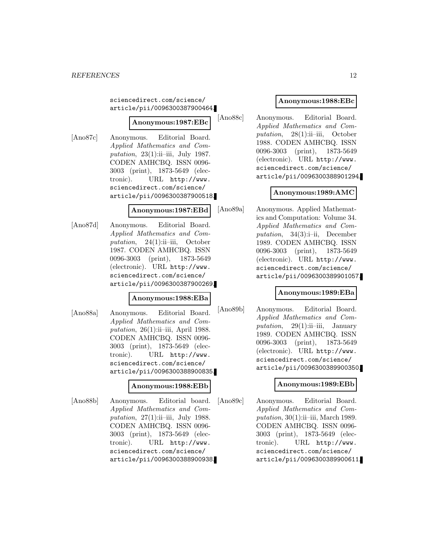sciencedirect.com/science/ article/pii/0096300387900464.

# **Anonymous:1987:EBc**

[Ano87c] Anonymous. Editorial Board. Applied Mathematics and Computation,  $23(1)$ :ii-iii, July 1987. CODEN AMHCBQ. ISSN 0096- 3003 (print), 1873-5649 (electronic). URL http://www. sciencedirect.com/science/ article/pii/0096300387900518.

### **Anonymous:1987:EBd**

[Ano87d] Anonymous. Editorial Board. Applied Mathematics and Computation,  $24(1)$ :ii–iii, October 1987. CODEN AMHCBQ. ISSN 0096-3003 (print), 1873-5649 (electronic). URL http://www. sciencedirect.com/science/ article/pii/0096300387900269.

#### **Anonymous:1988:EBa**

[Ano88a] Anonymous. Editorial Board. Applied Mathematics and Computation,  $26(1)$ :ii–iii, April 1988. CODEN AMHCBQ. ISSN 0096- 3003 (print), 1873-5649 (electronic). URL http://www. sciencedirect.com/science/ article/pii/0096300388900835.

#### **Anonymous:1988:EBb**

[Ano88b] Anonymous. Editorial board. Applied Mathematics and Computation,  $27(1)$ :ii-iii, July 1988. CODEN AMHCBQ. ISSN 0096- 3003 (print), 1873-5649 (electronic). URL http://www. sciencedirect.com/science/ article/pii/0096300388900938.

### **Anonymous:1988:EBc**

[Ano88c] Anonymous. Editorial Board. Applied Mathematics and Computation,  $28(1)$ :ii–iii, October 1988. CODEN AMHCBQ. ISSN 0096-3003 (print), 1873-5649 (electronic). URL http://www. sciencedirect.com/science/ article/pii/0096300388901294.

### **Anonymous:1989:AMC**

[Ano89a] Anonymous. Applied Mathematics and Computation: Volume 34. Applied Mathematics and Computation,  $34(3)$ :i-ii, December 1989. CODEN AMHCBQ. ISSN 0096-3003 (print), 1873-5649 (electronic). URL http://www. sciencedirect.com/science/ article/pii/0096300389901057.

### **Anonymous:1989:EBa**

[Ano89b] Anonymous. Editorial Board. Applied Mathematics and Computation,  $29(1)$ :ii–iii, January 1989. CODEN AMHCBQ. ISSN 0096-3003 (print), 1873-5649 (electronic). URL http://www. sciencedirect.com/science/ article/pii/0096300389900350.

### **Anonymous:1989:EBb**

[Ano89c] Anonymous. Editorial Board. Applied Mathematics and Computation,  $30(1)$ :ii–iii, March 1989. CODEN AMHCBQ. ISSN 0096- 3003 (print), 1873-5649 (electronic). URL http://www. sciencedirect.com/science/ article/pii/0096300389900611.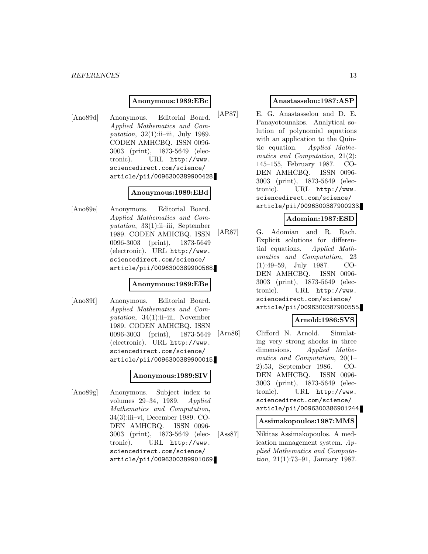#### *REFERENCES* 13

#### **Anonymous:1989:EBc**

[Ano89d] Anonymous. Editorial Board. Applied Mathematics and Computation,  $32(1)$ :ii-iii, July 1989. CODEN AMHCBQ. ISSN 0096- 3003 (print), 1873-5649 (electronic). URL http://www. sciencedirect.com/science/ article/pii/0096300389900428.

#### **Anonymous:1989:EBd**

[Ano89e] Anonymous. Editorial Board. Applied Mathematics and Computation,  $33(1)$ :ii–iii, September 1989. CODEN AMHCBQ. ISSN 0096-3003 (print), 1873-5649 (electronic). URL http://www. sciencedirect.com/science/ article/pii/0096300389900568.

#### **Anonymous:1989:EBe**

[Ano89f] Anonymous. Editorial Board. Applied Mathematics and Computation,  $34(1)$ :ii–iii, November 1989. CODEN AMHCBQ. ISSN 0096-3003 (print), 1873-5649 (electronic). URL http://www. sciencedirect.com/science/ article/pii/0096300389900015.

#### **Anonymous:1989:SIV**

[Ano89g] Anonymous. Subject index to volumes 29–34, 1989. Applied Mathematics and Computation, 34(3):iii–vi, December 1989. CO-DEN AMHCBQ. ISSN 0096- 3003 (print), 1873-5649 (electronic). URL http://www. sciencedirect.com/science/ article/pii/0096300389901069.

#### **Anastasselou:1987:ASP**

[AP87] E. G. Anastasselou and D. E. Panayotounakos. Analytical solution of polynomial equations with an application to the Quintic equation. Applied Mathematics and Computation, 21(2): 145–155, February 1987. CO-DEN AMHCBQ. ISSN 0096- 3003 (print), 1873-5649 (electronic). URL http://www. sciencedirect.com/science/ article/pii/0096300387900233.

#### **Adomian:1987:ESD**

[AR87] G. Adomian and R. Rach. Explicit solutions for differential equations. Applied Mathematics and Computation, 23 (1):49–59, July 1987. CO-DEN AMHCBQ. ISSN 0096- 3003 (print), 1873-5649 (electronic). URL http://www. sciencedirect.com/science/ article/pii/0096300387900555.

#### **Arnold:1986:SVS**

[Arn86] Clifford N. Arnold. Simulating very strong shocks in three dimensions. Applied Mathematics and Computation, 20(1– 2):53, September 1986. CO-DEN AMHCBQ. ISSN 0096- 3003 (print), 1873-5649 (electronic). URL http://www. sciencedirect.com/science/ article/pii/0096300386901244.

#### **Assimakopoulos:1987:MMS**

[Ass87] Nikitas Assimakopoulos. A medication management system. Applied Mathematics and Computation, 21(1):73–91, January 1987.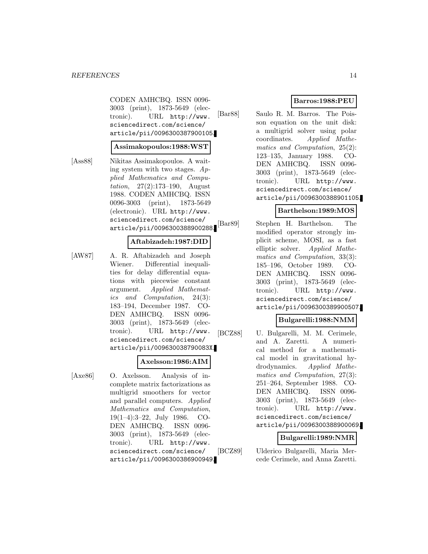CODEN AMHCBQ. ISSN 0096- 3003 (print), 1873-5649 (electronic). URL http://www. sciencedirect.com/science/ article/pii/0096300387900105.

#### **Assimakopoulos:1988:WST**

[Ass88] Nikitas Assimakopoulos. A waiting system with two stages.  $Ap$ plied Mathematics and Computation, 27(2):173–190, August 1988. CODEN AMHCBQ. ISSN 0096-3003 (print), 1873-5649 (electronic). URL http://www. sciencedirect.com/science/ article/pii/0096300388900288.

#### **Aftabizadeh:1987:DID**

[AW87] A. R. Aftabizadeh and Joseph Wiener. Differential inequalities for delay differential equations with piecewise constant argument. Applied Mathematics and Computation, 24(3): 183–194, December 1987. CO-DEN AMHCBQ. ISSN 0096- 3003 (print), 1873-5649 (electronic). URL http://www. sciencedirect.com/science/ article/pii/009630038790083X.

### **Axelsson:1986:AIM**

[Axe86] O. Axelsson. Analysis of incomplete matrix factorizations as multigrid smoothers for vector and parallel computers. Applied Mathematics and Computation, 19(1–4):3–22, July 1986. CO-DEN AMHCBQ. ISSN 0096- 3003 (print), 1873-5649 (electronic). URL http://www. sciencedirect.com/science/ article/pii/0096300386900949.

### **Barros:1988:PEU**

[Bar88] Saulo R. M. Barros. The Poisson equation on the unit disk: a multigrid solver using polar coordinates. Applied Mathematics and Computation, 25(2): 123–135, January 1988. CO-DEN AMHCBQ. ISSN 0096- 3003 (print), 1873-5649 (electronic). URL http://www. sciencedirect.com/science/ article/pii/0096300388901105.

### **Barthelson:1989:MOS**

[Bar89] Stephen H. Barthelson. The modified operator strongly implicit scheme, MOSI, as a fast elliptic solver. Applied Mathematics and Computation, 33(3): 185–196, October 1989. CO-DEN AMHCBQ. ISSN 0096- 3003 (print), 1873-5649 (electronic). URL http://www. sciencedirect.com/science/ article/pii/0096300389900507.

### **Bulgarelli:1988:NMM**

[BCZ88] U. Bulgarelli, M. M. Cerimele, and A. Zaretti. A numerical method for a mathematical model in gravitational hydrodynamics. Applied Mathematics and Computation, 27(3): 251–264, September 1988. CO-DEN AMHCBQ. ISSN 0096- 3003 (print), 1873-5649 (electronic). URL http://www. sciencedirect.com/science/ article/pii/0096300388900069.

#### **Bulgarelli:1989:NMR**

[BCZ89] Ulderico Bulgarelli, Maria Mercede Cerimele, and Anna Zaretti.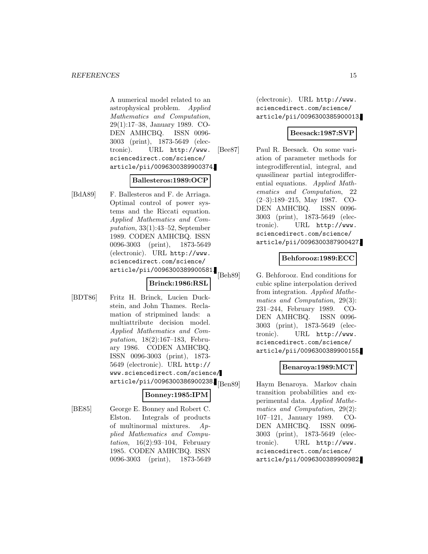A numerical model related to an astrophysical problem. Applied Mathematics and Computation, 29(1):17–38, January 1989. CO-DEN AMHCBQ. ISSN 0096- 3003 (print), 1873-5649 (electronic). URL http://www. sciencedirect.com/science/ article/pii/0096300389900374.

### **Ballesteros:1989:OCP**

[BdA89] F. Ballesteros and F. de Arriaga. Optimal control of power systems and the Riccati equation. Applied Mathematics and Computation, 33(1):43–52, September 1989. CODEN AMHCBQ. ISSN 0096-3003 (print), 1873-5649 (electronic). URL http://www. sciencedirect.com/science/ article/pii/0096300389900581.

### **Brinck:1986:RSL**

[BDT86] Fritz H. Brinck, Lucien Duckstein, and John Thames. Reclamation of stripmined lands: a multiattribute decision model. Applied Mathematics and Computation, 18(2):167–183, February 1986. CODEN AMHCBQ. ISSN 0096-3003 (print), 1873- 5649 (electronic). URL http:// www.sciencedirect.com/science/  $\arotic1e/pii/0096300386900238.$ <sub>[Ben89]</sub>

### **Bonney:1985:IPM**

[BE85] George E. Bonney and Robert C. Elston. Integrals of products of multinormal mixtures. Applied Mathematics and Computation,  $16(2):93-104$ , February 1985. CODEN AMHCBQ. ISSN 0096-3003 (print), 1873-5649

(electronic). URL http://www. sciencedirect.com/science/ article/pii/0096300385900013.

### **Beesack:1987:SVP**

[Bee87] Paul R. Beesack. On some variation of parameter methods for integrodifferential, integral, and quasilinear partial integrodifferential equations. Applied Mathematics and Computation, 22 (2–3):189–215, May 1987. CO-DEN AMHCBQ. ISSN 0096- 3003 (print), 1873-5649 (electronic). URL http://www. sciencedirect.com/science/ article/pii/0096300387900427.

### **Behforooz:1989:ECC**

[Beh89] G. Behforooz. End conditions for cubic spline interpolation derived from integration. Applied Mathematics and Computation, 29(3): 231–244, February 1989. CO-DEN AMHCBQ. ISSN 0096- 3003 (print), 1873-5649 (electronic). URL http://www. sciencedirect.com/science/ article/pii/0096300389900155.

### **Benaroya:1989:MCT**

Haym Benaroya. Markov chain transition probabilities and experimental data. Applied Mathematics and Computation, 29(2): 107–121, January 1989. CO-DEN AMHCBQ. ISSN 0096- 3003 (print), 1873-5649 (electronic). URL http://www. sciencedirect.com/science/ article/pii/0096300389900982.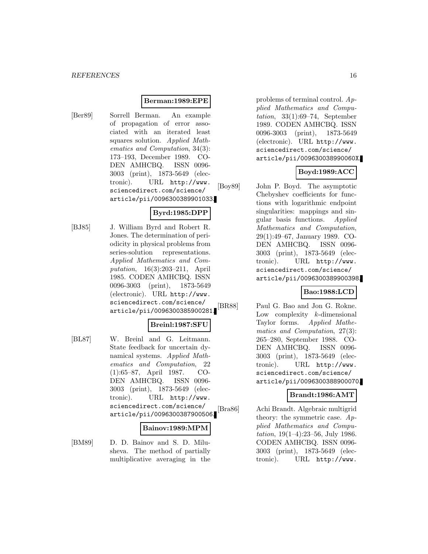### **Berman:1989:EPE**

[Ber89] Sorrell Berman. An example of propagation of error associated with an iterated least squares solution. Applied Mathematics and Computation, 34(3): 173–193, December 1989. CO-DEN AMHCBQ. ISSN 0096- 3003 (print), 1873-5649 (electronic). URL http://www. sciencedirect.com/science/ article/pii/0096300389901033.

### **Byrd:1985:DPP**

[BJ85] J. William Byrd and Robert R. Jones. The determination of periodicity in physical problems from series-solution representations. Applied Mathematics and Computation, 16(3):203–211, April 1985. CODEN AMHCBQ. ISSN 0096-3003 (print), 1873-5649 (electronic). URL http://www. sciencedirect.com/science/ article/pii/0096300385900281.

#### **Breinl:1987:SFU**

[BL87] W. Breinl and G. Leitmann. State feedback for uncertain dynamical systems. Applied Mathematics and Computation, 22 (1):65–87, April 1987. CO-DEN AMHCBQ. ISSN 0096- 3003 (print), 1873-5649 (electronic). URL http://www. sciencedirect.com/science/ article/pii/0096300387900506.

#### **Bainov:1989:MPM**

[BM89] D. D. Bainov and S. D. Milusheva. The method of partially multiplicative averaging in the problems of terminal control. Applied Mathematics and Computation, 33(1):69–74, September 1989. CODEN AMHCBQ. ISSN 0096-3003 (print), 1873-5649 (electronic). URL http://www. sciencedirect.com/science/ article/pii/009630038990060X.

# **Boyd:1989:ACC**

[Boy89] John P. Boyd. The asymptotic Chebyshev coefficients for functions with logarithmic endpoint singularities: mappings and singular basis functions. Applied Mathematics and Computation, 29(1):49–67, January 1989. CO-DEN AMHCBQ. ISSN 0096- 3003 (print), 1873-5649 (electronic). URL http://www. sciencedirect.com/science/ article/pii/0096300389900398.

### **Bao:1988:LCD**

[BR88] Paul G. Bao and Jon G. Rokne. Low complexity k-dimensional Taylor forms. Applied Mathematics and Computation, 27(3): 265–280, September 1988. CO-DEN AMHCBQ. ISSN 0096- 3003 (print), 1873-5649 (electronic). URL http://www. sciencedirect.com/science/ article/pii/0096300388900070.

### **Brandt:1986:AMT**

[Bra86] Achi Brandt. Algebraic multigrid theory: the symmetric case. Applied Mathematics and Computation,  $19(1-4):23-56$ , July 1986. CODEN AMHCBQ. ISSN 0096- 3003 (print), 1873-5649 (electronic). URL http://www.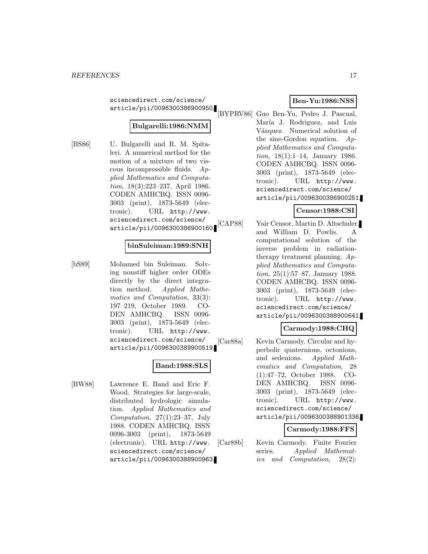sciencedirect.com/science/ article/pii/0096300386900950.

# **Bulgarelli:1986:NMM**

[BS86] U. Bulgarelli and R. M. Spitaleri. A numerical method for the motion of a mixture of two viscous incompressible fluids. Applied Mathematics and Computation, 18(3):223–237, April 1986. CODEN AMHCBQ. ISSN 0096- 3003 (print), 1873-5649 (electronic). URL http://www. sciencedirect.com/science/ article/pii/0096300386900160.

### **binSuleiman:1989:SNH**

[bS89] Mohamed bin Suleiman. Solving nonstiff higher order ODEs directly by the direct integration method. Applied Mathematics and Computation, 33(3): 197–219, October 1989. CO-DEN AMHCBQ. ISSN 0096- 3003 (print), 1873-5649 (electronic). URL http://www. sciencedirect.com/science/ article/pii/0096300389900519.

### **Band:1988:SLS**

[BW88] Lawrence E. Band and Eric F. Wood. Strategies for large-scale, distributed hydrologic simulation. Applied Mathematics and Computation,  $27(1):23-37$ , July 1988. CODEN AMHCBQ. ISSN 0096-3003 (print), 1873-5649 (electronic). URL http://www. sciencedirect.com/science/ article/pii/0096300388900963.

### **Ben-Yu:1986:NSS**

[BYPRV86] Guo Ben-Yu, Pedro J. Pascual, María J. Rodriguez, and Luis Vázquez. Numerical solution of the sine-Gordon equation. Applied Mathematics and Computation, 18(1):1–14, January 1986. CODEN AMHCBQ. ISSN 0096- 3003 (print), 1873-5649 (electronic). URL http://www. sciencedirect.com/science/ article/pii/0096300386900251.

### **Censor:1988:CSI**

[CAP88] Yair Censor, Martin D. Altschuler, and William D. Powlis. A computational solution of the inverse problem in radiationtherapy treatment planning.  $Ap$ plied Mathematics and Computation, 25(1):57–87, January 1988. CODEN AMHCBQ. ISSN 0096- 3003 (print), 1873-5649 (electronic). URL http://www. sciencedirect.com/science/ article/pii/0096300388900641.

### **Carmody:1988:CHQ**

[Car88a] Kevin Carmody. Circular and hyperbolic quaternions, octonions, and sedenions. Applied Mathematics and Computation, 28 (1):47–72, October 1988. CO-DEN AMHCBQ. ISSN 0096- 3003 (print), 1873-5649 (electronic). URL http://www. sciencedirect.com/science/ article/pii/0096300388901336.

#### **Carmody:1988:FFS**

[Car88b] Kevin Carmody. Finite Fourier series. Applied Mathematics and Computation, 28(2):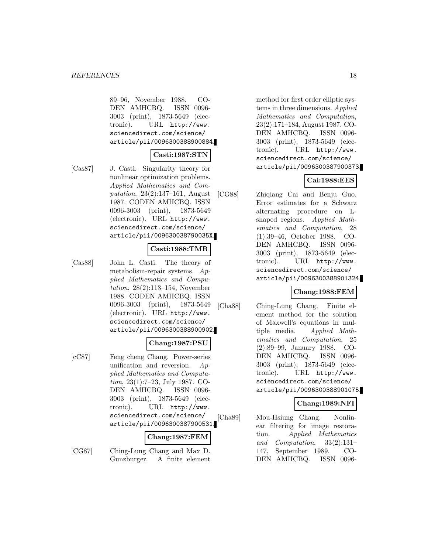89–96, November 1988. CO-DEN AMHCBQ. ISSN 0096- 3003 (print), 1873-5649 (electronic). URL http://www. sciencedirect.com/science/ article/pii/0096300388900884.

#### **Casti:1987:STN**

[Cas87] J. Casti. Singularity theory for nonlinear optimization problems. Applied Mathematics and Computation, 23(2):137–161, August 1987. CODEN AMHCBQ. ISSN 0096-3003 (print), 1873-5649 (electronic). URL http://www. sciencedirect.com/science/ article/pii/009630038790035X.

#### **Casti:1988:TMR**

[Cas88] John L. Casti. The theory of metabolism-repair systems. Applied Mathematics and Computation, 28(2):113–154, November 1988. CODEN AMHCBQ. ISSN 0096-3003 (print), 1873-5649 (electronic). URL http://www. sciencedirect.com/science/ article/pii/0096300388900902.

### **Chang:1987:PSU**

[cC87] Feng cheng Chang. Power-series unification and reversion. Applied Mathematics and Computation, 23(1):7–23, July 1987. CO-DEN AMHCBQ. ISSN 0096- 3003 (print), 1873-5649 (electronic). URL http://www. sciencedirect.com/science/ article/pii/0096300387900531.

#### **Chang:1987:FEM**

[CG87] Ching-Lung Chang and Max D. Gunzburger. A finite element

method for first order elliptic systems in three dimensions. Applied Mathematics and Computation, 23(2):171–184, August 1987. CO-DEN AMHCBQ. ISSN 0096- 3003 (print), 1873-5649 (electronic). URL http://www. sciencedirect.com/science/ article/pii/0096300387900373.

### **Cai:1988:EES**

[CG88] Zhiqiang Cai and Benju Guo. Error estimates for a Schwarz alternating procedure on Lshaped regions. Applied Mathematics and Computation, 28 (1):39–46, October 1988. CO-DEN AMHCBQ. ISSN 0096- 3003 (print), 1873-5649 (electronic). URL http://www. sciencedirect.com/science/ article/pii/0096300388901324.

### **Chang:1988:FEM**

[Cha88] Ching-Lung Chang. Finite element method for the solution of Maxwell's equations in multiple media. Applied Mathematics and Computation, 25 (2):89–99, January 1988. CO-DEN AMHCBQ. ISSN 0096- 3003 (print), 1873-5649 (electronic). URL http://www. sciencedirect.com/science/ article/pii/0096300388901075.

### **Chang:1989:NFI**

[Cha89] Mou-Hsiung Chang. Nonlinear filtering for image restoration. Applied Mathematics and Computation, 33(2):131– 147, September 1989. CO-DEN AMHCBQ. ISSN 0096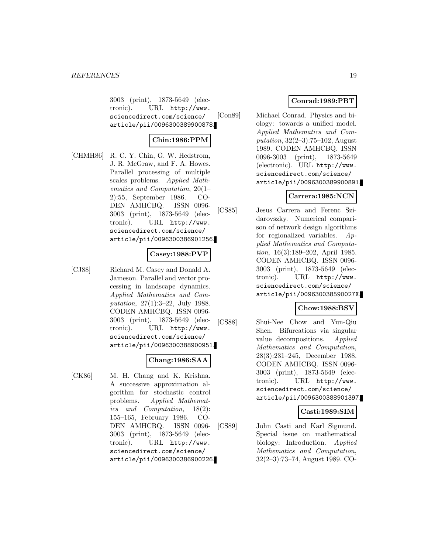3003 (print), 1873-5649 (electronic). URL http://www. sciencedirect.com/science/ article/pii/0096300389900878.

### **Chin:1986:PPM**

[CHMH86] R. C. Y. Chin, G. W. Hedstrom, J. R. McGraw, and F. A. Howes. Parallel processing of multiple scales problems. Applied Mathematics and Computation, 20(1– 2):55, September 1986. CO-DEN AMHCBQ. ISSN 0096- 3003 (print), 1873-5649 (electronic). URL http://www. sciencedirect.com/science/ article/pii/0096300386901256.

### **Casey:1988:PVP**

[CJ88] Richard M. Casey and Donald A. Jameson. Parallel and vector processing in landscape dynamics. Applied Mathematics and Computation, 27(1):3–22, July 1988. CODEN AMHCBQ. ISSN 0096- 3003 (print), 1873-5649 (electronic). URL http://www. sciencedirect.com/science/ article/pii/0096300388900951.

#### **Chang:1986:SAA**

[CK86] M. H. Chang and K. Krishna. A successive approximation algorithm for stochastic control problems. Applied Mathematics and Computation, 18(2): 155–165, February 1986. CO-DEN AMHCBQ. ISSN 0096- 3003 (print), 1873-5649 (electronic). URL http://www. sciencedirect.com/science/ article/pii/0096300386900226.

### **Conrad:1989:PBT**

[Con89] Michael Conrad. Physics and biology: towards a unified model. Applied Mathematics and Computation, 32(2–3):75–102, August 1989. CODEN AMHCBQ. ISSN 0096-3003 (print), 1873-5649 (electronic). URL http://www. sciencedirect.com/science/ article/pii/0096300389900891.

### **Carrera:1985:NCN**

[CS85] Jesus Carrera and Ferenc Szidarovszky. Numerical comparison of network design algorithms for regionalized variables. Applied Mathematics and Computation, 16(3):189–202, April 1985. CODEN AMHCBQ. ISSN 0096- 3003 (print), 1873-5649 (electronic). URL http://www. sciencedirect.com/science/ article/pii/009630038590027X.

## **Chow:1988:BSV**

[CS88] Shui-Nee Chow and Yun-Qiu Shen. Bifurcations via singular value decompositions. Applied Mathematics and Computation, 28(3):231–245, December 1988. CODEN AMHCBQ. ISSN 0096- 3003 (print), 1873-5649 (electronic). URL http://www. sciencedirect.com/science/ article/pii/0096300388901397.

### **Casti:1989:SIM**

[CS89] John Casti and Karl Sigmund. Special issue on mathematical biology: Introduction. Applied Mathematics and Computation, 32(2–3):73–74, August 1989. CO-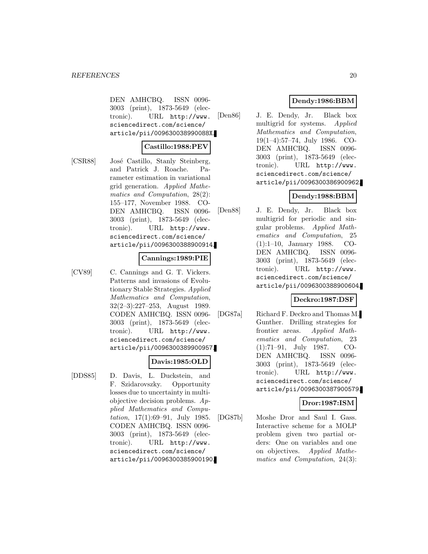DEN AMHCBQ. ISSN 0096- 3003 (print), 1873-5649 (electronic). URL http://www. sciencedirect.com/science/ article/pii/009630038990088X.

#### **Castillo:1988:PEV**

[CSR88] José Castillo, Stanly Steinberg, and Patrick J. Roache. Parameter estimation in variational grid generation. Applied Mathematics and Computation, 28(2): 155–177, November 1988. CO-DEN AMHCBQ. ISSN 0096- 3003 (print), 1873-5649 (electronic). URL http://www. sciencedirect.com/science/ article/pii/0096300388900914.

#### **Cannings:1989:PIE**

[CV89] C. Cannings and G. T. Vickers. Patterns and invasions of Evolutionary Stable Strategies. Applied Mathematics and Computation, 32(2–3):227–253, August 1989. CODEN AMHCBQ. ISSN 0096- 3003 (print), 1873-5649 (electronic). URL http://www. sciencedirect.com/science/ article/pii/0096300389900957.

#### **Davis:1985:OLD**

[DDS85] D. Davis, L. Duckstein, and F. Szidarovszky. Opportunity losses due to uncertainty in multiobjective decision problems. Applied Mathematics and Computation, 17(1):69–91, July 1985. CODEN AMHCBQ. ISSN 0096- 3003 (print), 1873-5649 (electronic). URL http://www. sciencedirect.com/science/ article/pii/0096300385900190.

# **Dendy:1986:BBM**

[Den86] J. E. Dendy, Jr. Black box multigrid for systems. Applied Mathematics and Computation, 19(1–4):57–74, July 1986. CO-DEN AMHCBQ. ISSN 0096- 3003 (print), 1873-5649 (electronic). URL http://www. sciencedirect.com/science/ article/pii/0096300386900962.

# **Dendy:1988:BBM**

[Den88] J. E. Dendy, Jr. Black box multigrid for periodic and singular problems. Applied Mathematics and Computation, 25 (1):1–10, January 1988. CO-DEN AMHCBQ. ISSN 0096- 3003 (print), 1873-5649 (electronic). URL http://www. sciencedirect.com/science/ article/pii/0096300388900604.

## **Deckro:1987:DSF**

[DG87a] Richard F. Deckro and Thomas M. Gunther. Drilling strategies for frontier areas. Applied Mathematics and Computation, 23 (1):71–91, July 1987. CO-DEN AMHCBQ. ISSN 0096- 3003 (print), 1873-5649 (electronic). URL http://www. sciencedirect.com/science/ article/pii/0096300387900579.

## **Dror:1987:ISM**

[DG87b] Moshe Dror and Saul I. Gass. Interactive scheme for a MOLP problem given two partial orders: One on variables and one on objectives. Applied Mathematics and Computation, 24(3):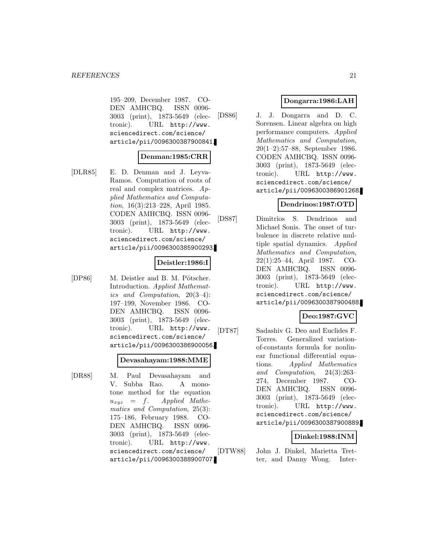195–209, December 1987. CO-DEN AMHCBQ. ISSN 0096- 3003 (print), 1873-5649 (electronic). URL http://www. sciencedirect.com/science/ article/pii/0096300387900841.

### **Denman:1985:CRR**

[DLR85] E. D. Denman and J. Leyva-Ramos. Computation of roots of real and complex matrices. Applied Mathematics and Computation, 16(3):213–228, April 1985. CODEN AMHCBQ. ISSN 0096- 3003 (print), 1873-5649 (electronic). URL http://www. sciencedirect.com/science/ article/pii/0096300385900293.

### **Deistler:1986:I**

[DP86] M. Deistler and B. M. Pötscher. Introduction. Applied Mathematics and Computation, 20(3–4): 197–199, November 1986. CO-DEN AMHCBQ. ISSN 0096- 3003 (print), 1873-5649 (electronic). URL http://www. sciencedirect.com/science/ article/pii/0096300386900056.

#### **Devasahayam:1988:MME**

[DR88] M. Paul Devasahayam and V. Subba Rao. A monotone method for the equation  $u_{xyz} = f.$  Applied Mathematics and Computation, 25(3): 175–186, February 1988. CO-DEN AMHCBQ. ISSN 0096- 3003 (print), 1873-5649 (electronic). URL http://www. sciencedirect.com/science/ article/pii/0096300388900707.

### **Dongarra:1986:LAH**

[DS86] J. J. Dongarra and D. C. Sorensen. Linear algebra on high performance computers. Applied Mathematics and Computation, 20(1–2):57–88, September 1986. CODEN AMHCBQ. ISSN 0096- 3003 (print), 1873-5649 (electronic). URL http://www. sciencedirect.com/science/ article/pii/0096300386901268.

### **Dendrinos:1987:OTD**

[DS87] Dimitrios S. Dendrinos and Michael Sonis. The onset of turbulence in discrete relative multiple spatial dynamics. Applied Mathematics and Computation, 22(1):25–44, April 1987. CO-DEN AMHCBQ. ISSN 0096- 3003 (print), 1873-5649 (electronic). URL http://www. sciencedirect.com/science/ article/pii/0096300387900488.

### **Deo:1987:GVC**

[DT87] Sadashiv G. Deo and Euclides F. Torres. Generalized variationof-constants formula for nonlinear functional differential equations. Applied Mathematics and Computation, 24(3):263– 274, December 1987. CO-DEN AMHCBQ. ISSN 0096- 3003 (print), 1873-5649 (electronic). URL http://www. sciencedirect.com/science/ article/pii/0096300387900889.

#### **Dinkel:1988:INM**

[DTW88] John J. Dinkel, Marietta Tretter, and Danny Wong. Inter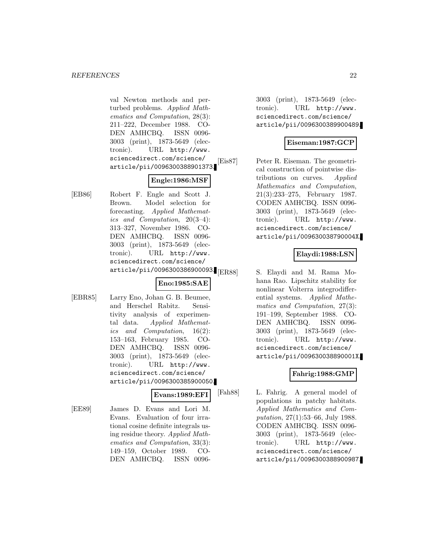val Newton methods and perturbed problems. Applied Mathematics and Computation, 28(3): 211–222, December 1988. CO-DEN AMHCBQ. ISSN 0096- 3003 (print), 1873-5649 (electronic). URL http://www. sciencedirect.com/science/ article/pii/0096300388901373.

# **Engle:1986:MSF**

[EB86] Robert F. Engle and Scott J. Brown. Model selection for forecasting. Applied Mathematics and Computation, 20(3–4): 313–327, November 1986. CO-DEN AMHCBQ. ISSN 0096- 3003 (print), 1873-5649 (electronic). URL http://www. sciencedirect.com/science/ article/pii/0096300386900093.

### **Eno:1985:SAE**

[EBR85] Larry Eno, Johan G. B. Beumee, and Herschel Rabitz. Sensitivity analysis of experimental data. Applied Mathematics and Computation, 16(2): 153–163, February 1985. CO-DEN AMHCBQ. ISSN 0096- 3003 (print), 1873-5649 (electronic). URL http://www. sciencedirect.com/science/ article/pii/0096300385900050.

### **Evans:1989:EFI**

[EE89] James D. Evans and Lori M. Evans. Evaluation of four irrational cosine definite integrals using residue theory. Applied Mathematics and Computation, 33(3): 149–159, October 1989. CO-DEN AMHCBQ. ISSN 00963003 (print), 1873-5649 (electronic). URL http://www. sciencedirect.com/science/ article/pii/0096300389900489.

### **Eiseman:1987:GCP**

[Eis87] Peter R. Eiseman. The geometrical construction of pointwise distributions on curves. Applied Mathematics and Computation, 21(3):233–275, February 1987. CODEN AMHCBQ. ISSN 0096- 3003 (print), 1873-5649 (electronic). URL http://www. sciencedirect.com/science/ article/pii/009630038790004X.

### **Elaydi:1988:LSN**

S. Elaydi and M. Rama Mohana Rao. Lipschitz stability for nonlinear Volterra integrodifferential systems. Applied Mathematics and Computation, 27(3): 191–199, September 1988. CO-DEN AMHCBQ. ISSN 0096- 3003 (print), 1873-5649 (electronic). URL http://www. sciencedirect.com/science/ article/pii/009630038890001X.

### **Fahrig:1988:GMP**

[Fah88] L. Fahrig. A general model of populations in patchy habitats. Applied Mathematics and Computation, 27(1):53–66, July 1988. CODEN AMHCBQ. ISSN 0096- 3003 (print), 1873-5649 (electronic). URL http://www. sciencedirect.com/science/ article/pii/0096300388900987.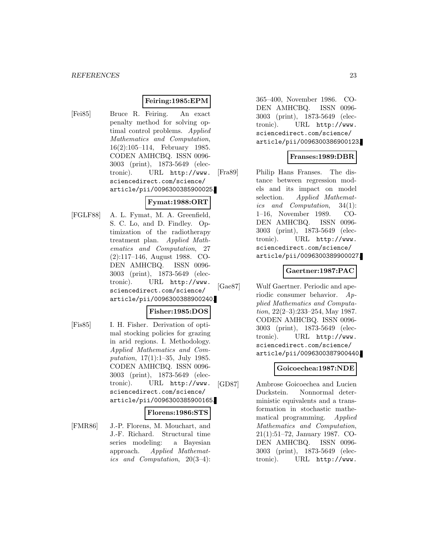### **Feiring:1985:EPM**

[Fei85] Bruce R. Feiring. An exact penalty method for solving optimal control problems. Applied Mathematics and Computation, 16(2):105–114, February 1985. CODEN AMHCBQ. ISSN 0096- 3003 (print), 1873-5649 (electronic). URL http://www. sciencedirect.com/science/ article/pii/0096300385900025.

# **Fymat:1988:ORT**

[FGLF88] A. L. Fymat, M. A. Greenfield, S. C. Lo, and D. Findley. Optimization of the radiotherapy treatment plan. Applied Mathematics and Computation, 27 (2):117–146, August 1988. CO-DEN AMHCBQ. ISSN 0096- 3003 (print), 1873-5649 (electronic). URL http://www. sciencedirect.com/science/ article/pii/0096300388900240.

## **Fisher:1985:DOS**

[Fis85] I. H. Fisher. Derivation of optimal stocking policies for grazing in arid regions. I. Methodology. Applied Mathematics and Computation, 17(1):1–35, July 1985. CODEN AMHCBQ. ISSN 0096- 3003 (print), 1873-5649 (electronic). URL http://www. sciencedirect.com/science/ article/pii/0096300385900165.

#### **Florens:1986:STS**

[FMR86] J.-P. Florens, M. Mouchart, and J.-F. Richard. Structural time series modeling: a Bayesian approach. Applied Mathematics and Computation, 20(3–4): 365–400, November 1986. CO-DEN AMHCBQ. ISSN 0096- 3003 (print), 1873-5649 (electronic). URL http://www. sciencedirect.com/science/ article/pii/0096300386900123.

### **Franses:1989:DBR**

[Fra89] Philip Hans Franses. The distance between regression models and its impact on model selection. Applied Mathematics and Computation, 34(1): 1–16, November 1989. CO-DEN AMHCBQ. ISSN 0096- 3003 (print), 1873-5649 (electronic). URL http://www. sciencedirect.com/science/ article/pii/0096300389900027.

### **Gaertner:1987:PAC**

[Gae87] Wulf Gaertner. Periodic and aperiodic consumer behavior. Applied Mathematics and Computation, 22(2–3):233–254, May 1987. CODEN AMHCBQ. ISSN 0096- 3003 (print), 1873-5649 (electronic). URL http://www. sciencedirect.com/science/ article/pii/0096300387900440.

### **Goicoechea:1987:NDE**

[GD87] Ambrose Goicoechea and Lucien Duckstein. Nonnormal deterministic equivalents and a transformation in stochastic mathematical programming. Applied Mathematics and Computation, 21(1):51–72, January 1987. CO-DEN AMHCBQ. ISSN 0096- 3003 (print), 1873-5649 (electronic). URL http://www.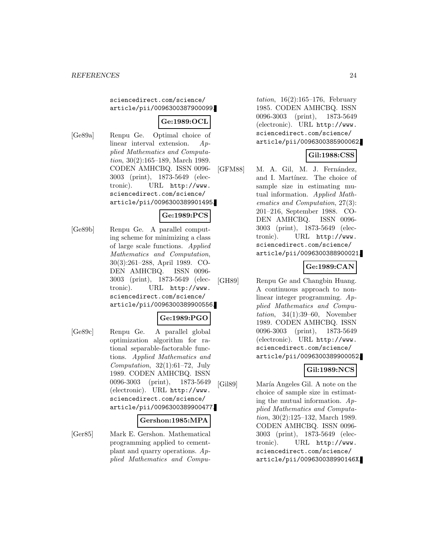#### sciencedirect.com/science/ article/pii/0096300387900099.

### **Ge:1989:OCL**

[Ge89a] Renpu Ge. Optimal choice of linear interval extension. Applied Mathematics and Computation, 30(2):165–189, March 1989. CODEN AMHCBQ. ISSN 0096- 3003 (print), 1873-5649 (electronic). URL http://www. sciencedirect.com/science/ article/pii/0096300389901495.

### **Ge:1989:PCS**

[Ge89b] Renpu Ge. A parallel computing scheme for minimizing a class of large scale functions. Applied Mathematics and Computation, 30(3):261–288, April 1989. CO-DEN AMHCBQ. ISSN 0096- 3003 (print), 1873-5649 (electronic). URL http://www. sciencedirect.com/science/ article/pii/0096300389900556.

### **Ge:1989:PGO**

[Ge89c] Renpu Ge. A parallel global optimization algorithm for rational separable-factorable functions. Applied Mathematics and Computation,  $32(1):61-72$ , July 1989. CODEN AMHCBQ. ISSN 0096-3003 (print), 1873-5649 (electronic). URL http://www. sciencedirect.com/science/ article/pii/0096300389900477.

#### **Gershon:1985:MPA**

[Ger85] Mark E. Gershon. Mathematical programming applied to cementplant and quarry operations. Applied Mathematics and Compu-

*tation*,  $16(2):165-176$ , February 1985. CODEN AMHCBQ. ISSN 0096-3003 (print), 1873-5649 (electronic). URL http://www. sciencedirect.com/science/ article/pii/0096300385900062.

### **Gil:1988:CSS**

[GFM88] M. A. Gil, M. J. Fernández, and I. Martínez. The choice of sample size in estimating mutual information. Applied Mathematics and Computation, 27(3): 201–216, September 1988. CO-DEN AMHCBQ. ISSN 0096- 3003 (print), 1873-5649 (electronic). URL http://www. sciencedirect.com/science/ article/pii/0096300388900021.

### **Ge:1989:CAN**

[GH89] Renpu Ge and Changbin Huang. A continuous approach to nonlinear integer programming. Applied Mathematics and Computation,  $34(1):39-60$ , November 1989. CODEN AMHCBQ. ISSN 0096-3003 (print), 1873-5649 (electronic). URL http://www. sciencedirect.com/science/ article/pii/0096300389900052.

# **Gil:1989:NCS**

[Gil89] María Angeles Gil. A note on the choice of sample size in estimating the mutual information.  $Ap$ plied Mathematics and Computation, 30(2):125–132, March 1989. CODEN AMHCBQ. ISSN 0096- 3003 (print), 1873-5649 (electronic). URL http://www. sciencedirect.com/science/ article/pii/009630038990146X.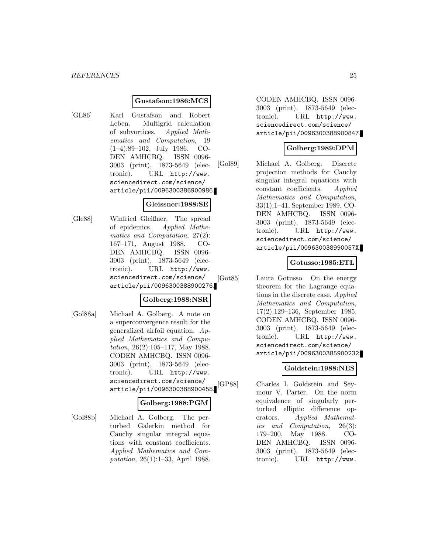#### **Gustafson:1986:MCS**

[GL86] Karl Gustafson and Robert Leben. Multigrid calculation of subvortices. Applied Mathematics and Computation, 19 (1–4):89–102, July 1986. CO-DEN AMHCBQ. ISSN 0096- 3003 (print), 1873-5649 (electronic). URL http://www. sciencedirect.com/science/ article/pii/0096300386900986.

#### **Gleissner:1988:SE**

[Gle88] Winfried Gleißner. The spread of epidemics. Applied Mathematics and Computation, 27(2): 167–171, August 1988. CO-DEN AMHCBQ. ISSN 0096- 3003 (print), 1873-5649 (electronic). URL http://www. sciencedirect.com/science/ article/pii/0096300388900276.

### **Golberg:1988:NSR**

[Gol88a] Michael A. Golberg. A note on a superconvergence result for the generalized airfoil equation. Applied Mathematics and Computation, 26(2):105–117, May 1988. CODEN AMHCBQ. ISSN 0096- 3003 (print), 1873-5649 (electronic). URL http://www. sciencedirect.com/science/ article/pii/0096300388900458.

### **Golberg:1988:PGM**

[Gol88b] Michael A. Golberg. The perturbed Galerkin method for Cauchy singular integral equations with constant coefficients. Applied Mathematics and Computation, 26(1):1–33, April 1988.

CODEN AMHCBQ. ISSN 0096- 3003 (print), 1873-5649 (electronic). URL http://www. sciencedirect.com/science/ article/pii/0096300388900847.

#### **Golberg:1989:DPM**

[Gol89] Michael A. Golberg. Discrete projection methods for Cauchy singular integral equations with constant coefficients. Applied Mathematics and Computation, 33(1):1–41, September 1989. CO-DEN AMHCBQ. ISSN 0096- 3003 (print), 1873-5649 (electronic). URL http://www. sciencedirect.com/science/ article/pii/009630038990057X.

### **Gotusso:1985:ETL**

[Got85] Laura Gotusso. On the energy theorem for the Lagrange equations in the discrete case. Applied Mathematics and Computation, 17(2):129–136, September 1985. CODEN AMHCBQ. ISSN 0096- 3003 (print), 1873-5649 (electronic). URL http://www. sciencedirect.com/science/ article/pii/0096300385900232.

# **Goldstein:1988:NES**

[GP88] Charles I. Goldstein and Seymour V. Parter. On the norm equivalence of singularly perturbed elliptic difference operators. Applied Mathematics and Computation, 26(3): 179–200, May 1988. CO-DEN AMHCBQ. ISSN 0096- 3003 (print), 1873-5649 (electronic). URL http://www.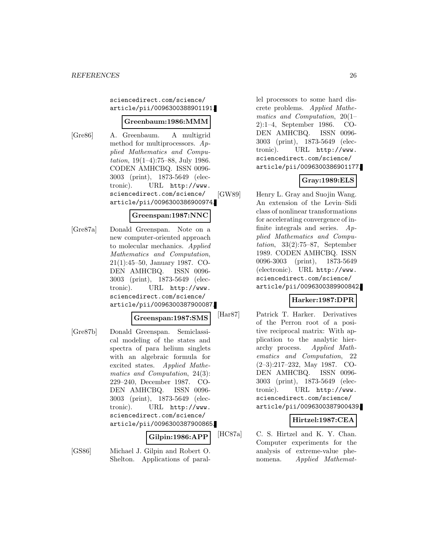sciencedirect.com/science/ article/pii/0096300388901191.

### **Greenbaum:1986:MMM**

[Gre86] A. Greenbaum. A multigrid method for multiprocessors. Applied Mathematics and Computation, 19(1–4):75–88, July 1986. CODEN AMHCBQ. ISSN 0096- 3003 (print), 1873-5649 (electronic). URL http://www. sciencedirect.com/science/ article/pii/0096300386900974.

### **Greenspan:1987:NNC**

[Gre87a] Donald Greenspan. Note on a new computer-oriented approach to molecular mechanics. Applied Mathematics and Computation, 21(1):45–50, January 1987. CO-DEN AMHCBQ. ISSN 0096- 3003 (print), 1873-5649 (electronic). URL http://www. sciencedirect.com/science/ article/pii/0096300387900087.

#### **Greenspan:1987:SMS**

[Gre87b] Donald Greenspan. Semiclassical modeling of the states and spectra of para helium singlets with an algebraic formula for excited states. Applied Mathematics and Computation, 24(3): 229–240, December 1987. CO-DEN AMHCBQ. ISSN 0096- 3003 (print), 1873-5649 (electronic). URL http://www. sciencedirect.com/science/ article/pii/0096300387900865.

### **Gilpin:1986:APP**

[GS86] Michael J. Gilpin and Robert O. Shelton. Applications of parallel processors to some hard discrete problems. Applied Mathematics and Computation, 20(1– 2):1–4, September 1986. CO-DEN AMHCBQ. ISSN 0096- 3003 (print), 1873-5649 (electronic). URL http://www. sciencedirect.com/science/ article/pii/0096300386901177.

# **Gray:1989:ELS**

[GW89] Henry L. Gray and Suojin Wang. An extension of the Levin–Sidi class of nonlinear transformations for accelerating convergence of infinite integrals and series. Applied Mathematics and Computation,  $33(2):75-87$ , September 1989. CODEN AMHCBQ. ISSN 0096-3003 (print), 1873-5649 (electronic). URL http://www. sciencedirect.com/science/ article/pii/0096300389900842.

### **Harker:1987:DPR**

[Har87] Patrick T. Harker. Derivatives of the Perron root of a positive reciprocal matrix: With application to the analytic hierarchy process. Applied Mathematics and Computation, 22 (2–3):217–232, May 1987. CO-DEN AMHCBQ. ISSN 0096- 3003 (print), 1873-5649 (electronic). URL http://www. sciencedirect.com/science/ article/pii/0096300387900439.

### **Hirtzel:1987:CEA**

[HC87a] C. S. Hirtzel and K. Y. Chan. Computer experiments for the analysis of extreme-value phenomena. Applied Mathemat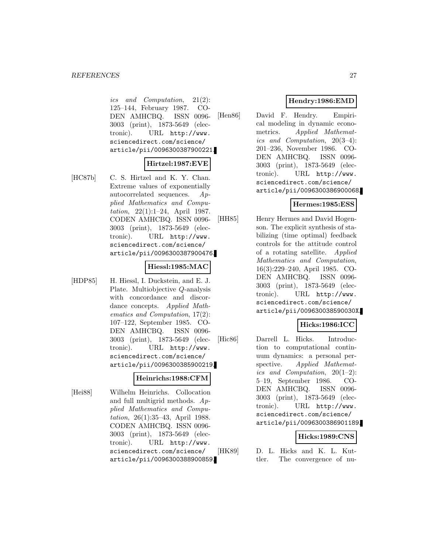ics and Computation, 21(2): 125–144, February 1987. CO-DEN AMHCBQ. ISSN 0096- 3003 (print), 1873-5649 (electronic). URL http://www. sciencedirect.com/science/ article/pii/0096300387900221.

# **Hirtzel:1987:EVE**

[HC87b] C. S. Hirtzel and K. Y. Chan. Extreme values of exponentially autocorrelated sequences. Applied Mathematics and Computation, 22(1):1–24, April 1987. CODEN AMHCBQ. ISSN 0096- 3003 (print), 1873-5649 (electronic). URL http://www. sciencedirect.com/science/ article/pii/0096300387900476.

#### **Hiessl:1985:MAC**

[HDP85] H. Hiessl, I. Duckstein, and E. J. Plate. Multiobjective Q-analysis with concordance and discordance concepts. Applied Mathematics and Computation, 17(2): 107–122, September 1985. CO-DEN AMHCBQ. ISSN 0096- 3003 (print), 1873-5649 (electronic). URL http://www. sciencedirect.com/science/ article/pii/0096300385900219.

#### **Heinrichs:1988:CFM**

[Hei88] Wilhelm Heinrichs. Collocation and full multigrid methods. Applied Mathematics and Computation, 26(1):35–43, April 1988. CODEN AMHCBQ. ISSN 0096- 3003 (print), 1873-5649 (electronic). URL http://www. sciencedirect.com/science/ article/pii/0096300388900859.

# **Hendry:1986:EMD**

[Hen86] David F. Hendry. Empirical modeling in dynamic econometrics. Applied Mathematics and Computation, 20(3–4): 201–236, November 1986. CO-DEN AMHCBQ. ISSN 0096- 3003 (print), 1873-5649 (electronic). URL http://www. sciencedirect.com/science/ article/pii/0096300386900068.

### **Hermes:1985:ESS**

[HH85] Henry Hermes and David Hogenson. The explicit synthesis of stabilizing (time optimal) feedback controls for the attitude control of a rotating satellite. Applied Mathematics and Computation, 16(3):229–240, April 1985. CO-DEN AMHCBQ. ISSN 0096- 3003 (print), 1873-5649 (electronic). URL http://www. sciencedirect.com/science/ article/pii/009630038590030X.

# **Hicks:1986:ICC**

[Hic86] Darrell L. Hicks. Introduction to computational continuum dynamics: a personal perspective. Applied Mathematics and Computation, 20(1–2): 5–19, September 1986. CO-DEN AMHCBQ. ISSN 0096- 3003 (print), 1873-5649 (electronic). URL http://www. sciencedirect.com/science/ article/pii/0096300386901189.

### **Hicks:1989:CNS**

[HK89] D. L. Hicks and K. L. Kuttler. The convergence of nu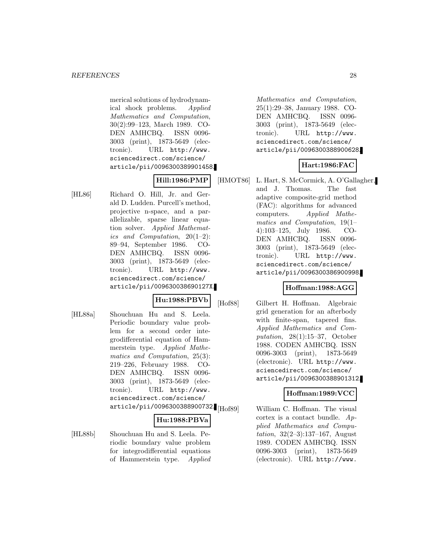merical solutions of hydrodynamical shock problems. Applied Mathematics and Computation, 30(2):99–123, March 1989. CO-DEN AMHCBQ. ISSN 0096- 3003 (print), 1873-5649 (electronic). URL http://www. sciencedirect.com/science/ article/pii/0096300389901458.

# **Hill:1986:PMP**

[HL86] Richard O. Hill, Jr. and Gerald D. Ludden. Purcell's method, projective n-space, and a parallelizable, sparse linear equation solver. Applied Mathematics and Computation, 20(1–2): 89–94, September 1986. CO-DEN AMHCBQ. ISSN 0096- 3003 (print), 1873-5649 (electronic). URL http://www. sciencedirect.com/science/ article/pii/009630038690127X.

### **Hu:1988:PBVb**

[HL88a] Shouchuan Hu and S. Leela. Periodic boundary value problem for a second order integrodifferential equation of Hammerstein type. Applied Mathematics and Computation, 25(3): 219–226, February 1988. CO-DEN AMHCBQ. ISSN 0096- 3003 (print), 1873-5649 (electronic). URL http://www. sciencedirect.com/science/ article/pii/0096300388900732.[Hof89]

### **Hu:1988:PBVa**

[HL88b] Shouchuan Hu and S. Leela. Periodic boundary value problem for integrodifferential equations of Hammerstein type. Applied

Mathematics and Computation, 25(1):29–38, January 1988. CO-DEN AMHCBQ. ISSN 0096- 3003 (print), 1873-5649 (electronic). URL http://www. sciencedirect.com/science/ article/pii/0096300388900628.

# **Hart:1986:FAC**

[HMOT86] L. Hart, S. McCormick, A. O'Gallagher, and J. Thomas. The fast adaptive composite-grid method (FAC): algorithms for advanced computers. Applied Mathematics and Computation, 19(1– 4):103–125, July 1986. CO-DEN AMHCBQ. ISSN 0096- 3003 (print), 1873-5649 (electronic). URL http://www. sciencedirect.com/science/ article/pii/0096300386900998.

### **Hoffman:1988:AGG**

[Hof88] Gilbert H. Hoffman. Algebraic grid generation for an afterbody with finite-span, tapered fins. Applied Mathematics and Computation, 28(1):15–37, October 1988. CODEN AMHCBQ. ISSN 0096-3003 (print), 1873-5649 (electronic). URL http://www. sciencedirect.com/science/ article/pii/0096300388901312.

### **Hoffman:1989:VCC**

William C. Hoffman. The visual cortex is a contact bundle. Applied Mathematics and Computation, 32(2–3):137–167, August 1989. CODEN AMHCBQ. ISSN 0096-3003 (print), 1873-5649 (electronic). URL http://www.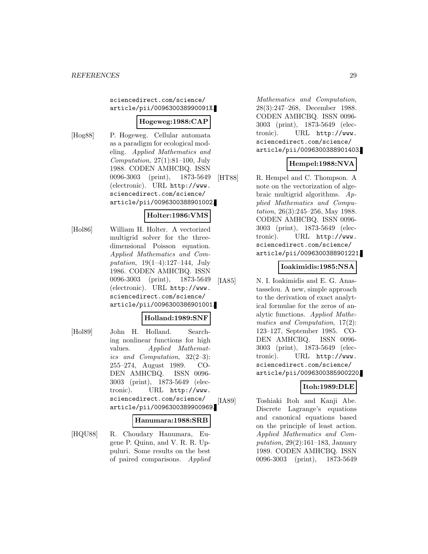sciencedirect.com/science/ article/pii/009630038990091X.

### **Hogeweg:1988:CAP**

- 
- [Hog88] P. Hogeweg. Cellular automata as a paradigm for ecological modeling. Applied Mathematics and Computation,  $27(1):81-100$ , July 1988. CODEN AMHCBQ. ISSN 0096-3003 (print), 1873-5649 (electronic). URL http://www. sciencedirect.com/science/ article/pii/0096300388901002.

### **Holter:1986:VMS**

[Hol86] William H. Holter. A vectorized multigrid solver for the threedimensional Poisson equation. Applied Mathematics and Computation,  $19(1-4):127-144$ , July 1986. CODEN AMHCBQ. ISSN 0096-3003 (print), 1873-5649 (electronic). URL http://www. sciencedirect.com/science/ article/pii/0096300386901001.

#### **Holland:1989:SNF**

[Hol89] John H. Holland. Searching nonlinear functions for high values. Applied Mathematics and Computation, 32(2–3): 255–274, August 1989. CO-DEN AMHCBQ. ISSN 0096- 3003 (print), 1873-5649 (electronic). URL http://www. sciencedirect.com/science/ article/pii/0096300389900969.

#### **Hanumara:1988:SRB**

[HQU88] R. Choudary Hanumara, Eugene P. Quinn, and V. R. R. Uppuluri. Some results on the best of paired comparisons. Applied

Mathematics and Computation, 28(3):247–268, December 1988. CODEN AMHCBQ. ISSN 0096- 3003 (print), 1873-5649 (electronic). URL http://www. sciencedirect.com/science/ article/pii/0096300388901403.

# **Hempel:1988:NVA**

[HT88] R. Hempel and C. Thompson. A note on the vectorization of algebraic multigrid algorithms. Applied Mathematics and Computation, 26(3):245–256, May 1988. CODEN AMHCBQ. ISSN 0096- 3003 (print), 1873-5649 (electronic). URL http://www. sciencedirect.com/science/ article/pii/0096300388901221.

### **Ioakimidis:1985:NSA**

[IA85] N. I. Ioakimidis and E. G. Anastasselou. A new, simple approach to the derivation of exact analytical formulae for the zeros of analytic functions. Applied Mathematics and Computation, 17(2): 123–127, September 1985. CO-DEN AMHCBQ. ISSN 0096- 3003 (print), 1873-5649 (electronic). URL http://www. sciencedirect.com/science/ article/pii/0096300385900220.

### **Itoh:1989:DLE**

[IA89] Toshiaki Itoh and Kanji Abe. Discrete Lagrange's equations and canonical equations based on the principle of least action. Applied Mathematics and Computation, 29(2):161–183, January 1989. CODEN AMHCBQ. ISSN 0096-3003 (print), 1873-5649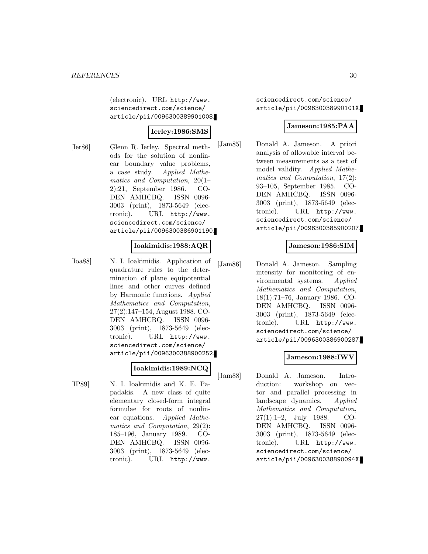(electronic). URL http://www. sciencedirect.com/science/ article/pii/0096300389901008.

### **Ierley:1986:SMS**

- 
- [Ier86] Glenn R. Ierley. Spectral methods for the solution of nonlinear boundary value problems, a case study. Applied Mathematics and Computation, 20(1– 2):21, September 1986. CO-DEN AMHCBQ. ISSN 0096- 3003 (print), 1873-5649 (electronic). URL http://www. sciencedirect.com/science/ article/pii/0096300386901190.

### **Ioakimidis:1988:AQR**

[Ioa88] N. I. Ioakimidis. Application of quadrature rules to the determination of plane equipotential lines and other curves defined by Harmonic functions. Applied Mathematics and Computation, 27(2):147–154, August 1988. CO-DEN AMHCBQ. ISSN 0096- 3003 (print), 1873-5649 (electronic). URL http://www. sciencedirect.com/science/ article/pii/0096300388900252.

# **Ioakimidis:1989:NCQ**

[IP89] N. I. Ioakimidis and K. E. Papadakis. A new class of quite elementary closed-form integral formulae for roots of nonlinear equations. Applied Mathematics and Computation, 29(2): 185–196, January 1989. CO-DEN AMHCBQ. ISSN 0096- 3003 (print), 1873-5649 (electronic). URL http://www.

sciencedirect.com/science/ article/pii/009630038990101X.

#### **Jameson:1985:PAA**

[Jam85] Donald A. Jameson. A priori analysis of allowable interval between measurements as a test of model validity. Applied Mathematics and Computation, 17(2): 93–105, September 1985. CO-DEN AMHCBQ. ISSN 0096- 3003 (print), 1873-5649 (electronic). URL http://www. sciencedirect.com/science/ article/pii/0096300385900207.

### **Jameson:1986:SIM**

[Jam86] Donald A. Jameson. Sampling intensity for monitoring of environmental systems. Applied Mathematics and Computation, 18(1):71–76, January 1986. CO-DEN AMHCBQ. ISSN 0096- 3003 (print), 1873-5649 (electronic). URL http://www. sciencedirect.com/science/ article/pii/0096300386900287.

### **Jameson:1988:IW**

[Jam88] Donald A. Jameson. Introduction: workshop on vector and parallel processing in landscape dynamics. Applied Mathematics and Computation, 27(1):1–2, July 1988. CO-DEN AMHCBQ. ISSN 0096- 3003 (print), 1873-5649 (electronic). URL http://www. sciencedirect.com/science/ article/pii/009630038890094X.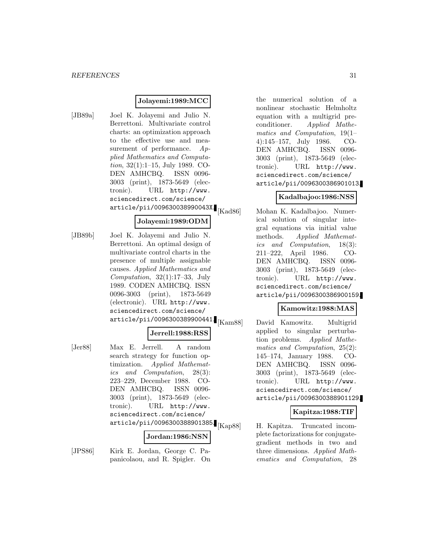### **Jolayemi:1989:MCC**

[JB89a] Joel K. Jolayemi and Julio N. Berrettoni. Multivariate control charts: an optimization approach to the effective use and measurement of performance.  $Ap$ plied Mathematics and Computation, 32(1):1–15, July 1989. CO-DEN AMHCBQ. ISSN 0096- 3003 (print), 1873-5649 (electronic). URL http://www. sciencedirect.com/science/ article/pii/009630038990043X.

### **Jolayemi:1989:ODM**

[JB89b] Joel K. Jolayemi and Julio N. Berrettoni. An optimal design of multivariate control charts in the presence of multiple assignable causes. Applied Mathematics and Computation,  $32(1):17-33$ , July 1989. CODEN AMHCBQ. ISSN 0096-3003 (print), 1873-5649 (electronic). URL http://www. sciencedirect.com/science/  $article/pii/0096300389900441$ .  $|{\rm Kam88}|$ 

#### **Jerrell:1988:RSS**

[Jer88] Max E. Jerrell. A random search strategy for function optimization. Applied Mathematics and Computation, 28(3): 223–229, December 1988. CO-DEN AMHCBQ. ISSN 0096- 3003 (print), 1873-5649 (electronic). URL http://www. sciencedirect.com/science/  $\frac{1}{2}$ article/pii/0096300388901385. $\frac{1}{2}$ [Kap88]

### **Jordan:1986:NSN**

[JPS86] Kirk E. Jordan, George C. Papanicolaou, and R. Spigler. On

the numerical solution of a nonlinear stochastic Helmholtz equation with a multigrid preconditioner. Applied Mathematics and Computation, 19(1– 4):145–157, July 1986. CO-DEN AMHCBQ. ISSN 0096- 3003 (print), 1873-5649 (electronic). URL http://www. sciencedirect.com/science/ article/pii/0096300386901013.

### **Kadalbajoo:1986:NSS**

Mohan K. Kadalbajoo. Numerical solution of singular integral equations via initial value methods. Applied Mathematics and Computation, 18(3): 211–222, April 1986. CO-DEN AMHCBQ. ISSN 0096- 3003 (print), 1873-5649 (electronic). URL http://www. sciencedirect.com/science/ article/pii/0096300386900159.

### **Kamowitz:1988:MAS**

David Kamowitz. Multigrid applied to singular perturbation problems. Applied Mathematics and Computation, 25(2): 145–174, January 1988. CO-DEN AMHCBQ. ISSN 0096- 3003 (print), 1873-5649 (electronic). URL http://www. sciencedirect.com/science/ article/pii/0096300388901129.

### **Kapitza:1988:TIF**

H. Kapitza. Truncated incomplete factorizations for conjugategradient methods in two and three dimensions. Applied Mathematics and Computation, 28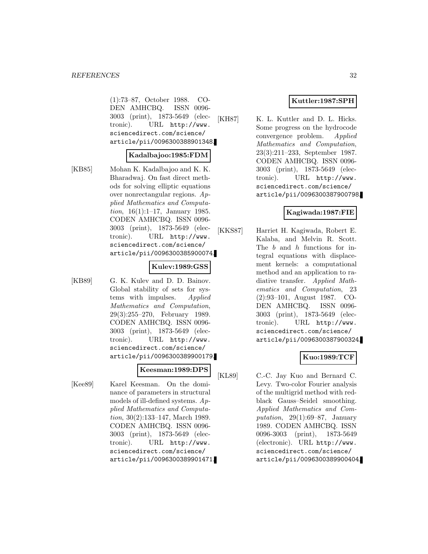(1):73–87, October 1988. CO-DEN AMHCBQ. ISSN 0096- 3003 (print), 1873-5649 (electronic). URL http://www. sciencedirect.com/science/ article/pii/0096300388901348.

#### **Kadalbajoo:1985:FDM**

[KB85] Mohan K. Kadalbajoo and K. K. Bharadwaj. On fast direct methods for solving elliptic equations over nonrectangular regions. Applied Mathematics and Computation, 16(1):1–17, January 1985. CODEN AMHCBQ. ISSN 0096- 3003 (print), 1873-5649 (electronic). URL http://www. sciencedirect.com/science/ article/pii/0096300385900074.

#### **Kulev:1989:GSS**

[KB89] G. K. Kulev and D. D. Bainov. Global stability of sets for systems with impulses. Applied Mathematics and Computation, 29(3):255–270, February 1989. CODEN AMHCBQ. ISSN 0096- 3003 (print), 1873-5649 (electronic). URL http://www. sciencedirect.com/science/ article/pii/0096300389900179.

#### **Keesman:1989:DPS**

[Kee89] Karel Keesman. On the dominance of parameters in structural models of ill-defined systems. Applied Mathematics and Computation, 30(2):133–147, March 1989. CODEN AMHCBQ. ISSN 0096- 3003 (print), 1873-5649 (electronic). URL http://www. sciencedirect.com/science/ article/pii/0096300389901471.

### **Kuttler:1987:SPH**

[KH87] K. L. Kuttler and D. L. Hicks. Some progress on the hydrocode convergence problem. Applied Mathematics and Computation, 23(3):211–233, September 1987. CODEN AMHCBQ. ISSN 0096- 3003 (print), 1873-5649 (electronic). URL http://www. sciencedirect.com/science/ article/pii/0096300387900798.

### **Kagiwada:1987:FIE**

[KKS87] Harriet H. Kagiwada, Robert E. Kalaba, and Melvin R. Scott. The b and h functions for integral equations with displacement kernels: a computational method and an application to radiative transfer. Applied Mathematics and Computation, 23 (2):93–101, August 1987. CO-DEN AMHCBQ. ISSN 0096- 3003 (print), 1873-5649 (electronic). URL http://www. sciencedirect.com/science/ article/pii/0096300387900324.

### **Kuo:1989:TCF**

[KL89] C.-C. Jay Kuo and Bernard C. Levy. Two-color Fourier analysis of the multigrid method with redblack Gauss–Seidel smoothing. Applied Mathematics and Computation,  $29(1):69-87$ , January 1989. CODEN AMHCBQ. ISSN 0096-3003 (print), 1873-5649 (electronic). URL http://www. sciencedirect.com/science/ article/pii/0096300389900404.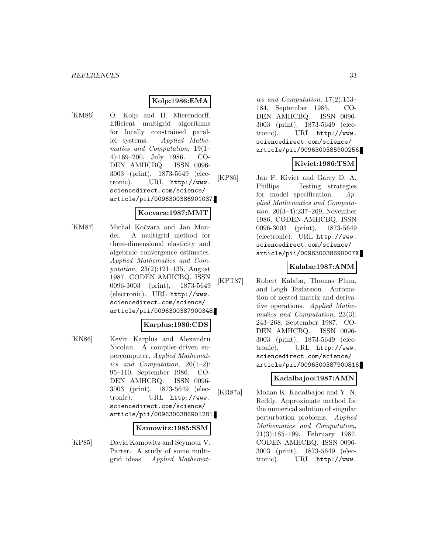# **Kolp:1986:EMA**

[KM86] O. Kolp and H. Mierendorff. Efficient multigrid algorithms for locally constrained parallel systems. Applied Mathematics and Computation, 19(1– 4):169–200, July 1986. CO-DEN AMHCBQ. ISSN 0096- 3003 (print), 1873-5649 (electronic). URL http://www. sciencedirect.com/science/ article/pii/0096300386901037.

### **Kocvara:1987:MMT**

[KM87] Michal Kočvara and Jan Mandel. A multigrid method for three-dimensional elasticity and algebraic convergence estimates. Applied Mathematics and Computation, 23(2):121–135, August 1987. CODEN AMHCBQ. ISSN 0096-3003 (print), 1873-5649 (electronic). URL http://www. sciencedirect.com/science/ article/pii/0096300387900348.

#### **Karplus:1986:CDS**

[KN86] Kevin Karplus and Alexandru Nicolau. A compiler-driven supercomputer. Applied Mathematics and Computation,  $20(1-2)$ : 95–110, September 1986. CO-DEN AMHCBQ. ISSN 0096- 3003 (print), 1873-5649 (electronic). URL http://www. sciencedirect.com/science/ article/pii/0096300386901281.

#### **Kamowitz:1985:SSM**

[KP85] David Kamowitz and Seymour V. Parter. A study of some multigrid ideas. Applied Mathemat-

ics and Computation, 17(2):153– 184, September 1985. CO-DEN AMHCBQ. ISSN 0096- 3003 (print), 1873-5649 (electronic). URL http://www. sciencedirect.com/science/ article/pii/0096300385900256.

### **Kiviet:1986:TSM**

[KP86] Jan F. Kiviet and Garry D. A. Phillips. Testing strategies for model specification.  $Ap$ plied Mathematics and Computation, 20(3–4):237–269, November 1986. CODEN AMHCBQ. ISSN 0096-3003 (print), 1873-5649 (electronic). URL http://www. sciencedirect.com/science/ article/pii/009630038690007X.

### **Kalaba:1987:ANM**

[KPT87] Robert Kalaba, Thomas Plum, and Leigh Tesfatsion. Automation of nested matrix and derivative operations. Applied Mathematics and Computation, 23(3): 243–268, September 1987. CO-DEN AMHCBQ. ISSN 0096- 3003 (print), 1873-5649 (electronic). URL http://www. sciencedirect.com/science/ article/pii/0096300387900816.

### **Kadalbajoo:1987:AMN**

[KR87a] Mohan K. Kadalbajoo and Y. N. Reddy. Approximate method for the numerical solution of singular perturbation problems. Applied Mathematics and Computation, 21(3):185–199, February 1987. CODEN AMHCBQ. ISSN 0096- 3003 (print), 1873-5649 (electronic). URL http://www.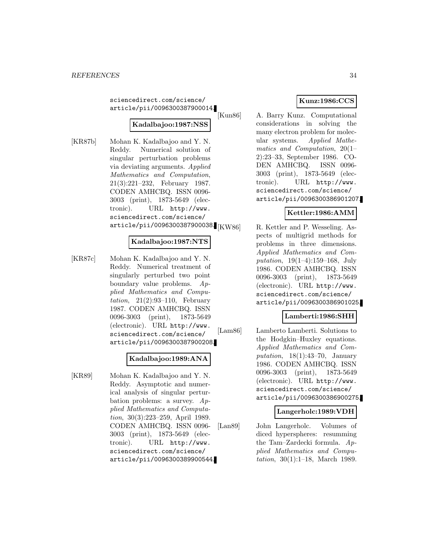sciencedirect.com/science/ article/pii/0096300387900014.

# **Kadalbajoo:1987:NSS**

[KR87b] Mohan K. Kadalbajoo and Y. N. Reddy. Numerical solution of singular perturbation problems via deviating arguments. Applied Mathematics and Computation, 21(3):221–232, February 1987. CODEN AMHCBQ. ISSN 0096- 3003 (print), 1873-5649 (electronic). URL http://www. sciencedirect.com/science/ article/pii/0096300387900038.

### **Kadalbajoo:1987:NTS**

[KR87c] Mohan K. Kadalbajoo and Y. N. Reddy. Numerical treatment of singularly perturbed two point boundary value problems. Applied Mathematics and Computation,  $21(2):93-110$ , February 1987. CODEN AMHCBQ. ISSN 0096-3003 (print), 1873-5649 (electronic). URL http://www. sciencedirect.com/science/ article/pii/0096300387900208.

### **Kadalbajoo:1989:ANA**

[KR89] Mohan K. Kadalbajoo and Y. N. Reddy. Asymptotic and numerical analysis of singular perturbation problems: a survey. Applied Mathematics and Computation, 30(3):223–259, April 1989. CODEN AMHCBQ. ISSN 0096- 3003 (print), 1873-5649 (electronic). URL http://www. sciencedirect.com/science/ article/pii/0096300389900544.

# **Kunz:1986:CCS**

[Kun86] A. Barry Kunz. Computational considerations in solving the many electron problem for molecular systems. Applied Mathematics and Computation, 20(1– 2):23–33, September 1986. CO-DEN AMHCBQ. ISSN 0096- 3003 (print), 1873-5649 (electronic). URL http://www. sciencedirect.com/science/ article/pii/0096300386901207.

### **Kettler:1986:AMM**

R. Kettler and P. Wesseling. Aspects of multigrid methods for problems in three dimensions. Applied Mathematics and Computation, 19(1–4):159–168, July 1986. CODEN AMHCBQ. ISSN 0096-3003 (print), 1873-5649 (electronic). URL http://www. sciencedirect.com/science/ article/pii/0096300386901025.

#### **Lamberti:1986:SHH**

[Lam86] Lamberto Lamberti. Solutions to the Hodgkin–Huxley equations. Applied Mathematics and Computation,  $18(1):43-70$ , January 1986. CODEN AMHCBQ. ISSN 0096-3003 (print), 1873-5649 (electronic). URL http://www. sciencedirect.com/science/ article/pii/0096300386900275.

### **Langerholc:1989:VDH**

[Lan89] John Langerholc. Volumes of diced hyperspheres: resumming the Tam–Zardecki formula. Applied Mathematics and Computation, 30(1):1–18, March 1989.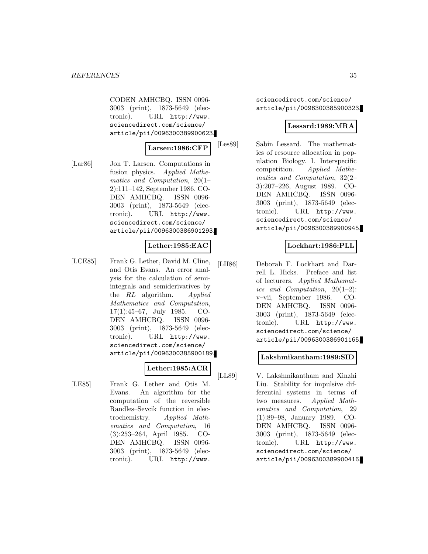CODEN AMHCBQ. ISSN 0096- 3003 (print), 1873-5649 (electronic). URL http://www. sciencedirect.com/science/ article/pii/0096300389900623.

#### **Larsen:1986:CFP**

[Lar86] Jon T. Larsen. Computations in fusion physics. Applied Mathematics and Computation, 20(1– 2):111–142, September 1986. CO-DEN AMHCBQ. ISSN 0096- 3003 (print), 1873-5649 (electronic). URL http://www. sciencedirect.com/science/ article/pii/0096300386901293.

### **Lether:1985:EAC**

[LCE85] Frank G. Lether, David M. Cline, and Otis Evans. An error analysis for the calculation of semiintegrals and semiderivatives by the RL algorithm. Applied Mathematics and Computation, 17(1):45–67, July 1985. CO-DEN AMHCBQ. ISSN 0096- 3003 (print), 1873-5649 (electronic). URL http://www. sciencedirect.com/science/ article/pii/0096300385900189.

# **Lether:1985:ACR**

[LE85] Frank G. Lether and Otis M. Evans. An algorithm for the computation of the reversible Randles–Sevcik function in electrochemistry. Applied Mathematics and Computation, 16 (3):253–264, April 1985. CO-DEN AMHCBQ. ISSN 0096- 3003 (print), 1873-5649 (electronic). URL http://www.

sciencedirect.com/science/ article/pii/0096300385900323.

### **Lessard:1989:MRA**

[Les89] Sabin Lessard. The mathematics of resource allocation in population Biology. I. Interspecific competition. Applied Mathematics and Computation, 32(2– 3):207–226, August 1989. CO-DEN AMHCBQ. ISSN 0096- 3003 (print), 1873-5649 (electronic). URL http://www. sciencedirect.com/science/ article/pii/0096300389900945.

### **Lockhart:1986:PLL**

[LH86] Deborah F. Lockhart and Darrell L. Hicks. Preface and list of lecturers. Applied Mathematics and Computation, 20(1–2): v–vii, September 1986. CO-DEN AMHCBQ. ISSN 0096- 3003 (print), 1873-5649 (electronic). URL http://www. sciencedirect.com/science/ article/pii/0096300386901165.

#### **Lakshmikantham:1989:SID**

[LL89] V. Lakshmikantham and Xinzhi Liu. Stability for impulsive differential systems in terms of two measures. Applied Mathematics and Computation, 29 (1):89–98, January 1989. CO-DEN AMHCBQ. ISSN 0096- 3003 (print), 1873-5649 (electronic). URL http://www. sciencedirect.com/science/ article/pii/0096300389900416.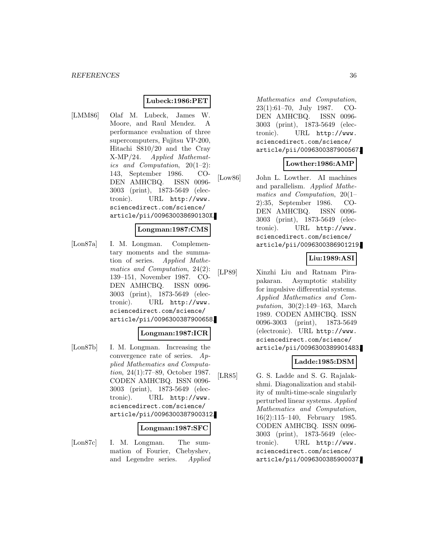### **Lubeck:1986:PET**

[LMM86] Olaf M. Lubeck, James W. Moore, and Raul Mendez. A performance evaluation of three supercomputers, Fujitsu VP-200, Hitachi S810/20 and the Cray X-MP/24. Applied Mathematics and Computation,  $20(1-2)$ : 143, September 1986. CO-DEN AMHCBQ. ISSN 0096- 3003 (print), 1873-5649 (electronic). URL http://www. sciencedirect.com/science/ article/pii/009630038690130X.

#### **Longman:1987:CMS**

[Lon87a] I. M. Longman. Complementary moments and the summation of series. Applied Mathematics and Computation, 24(2): 139–151, November 1987. CO-DEN AMHCBQ. ISSN 0096- 3003 (print), 1873-5649 (electronic). URL http://www. sciencedirect.com/science/ article/pii/0096300387900658.

#### **Longman:1987:ICR**

[Lon87b] I. M. Longman. Increasing the convergence rate of series. Applied Mathematics and Computation, 24(1):77–89, October 1987. CODEN AMHCBQ. ISSN 0096- 3003 (print), 1873-5649 (electronic). URL http://www. sciencedirect.com/science/ article/pii/0096300387900312.

#### **Longman:1987:SFC**

[Lon87c] I. M. Longman. The summation of Fourier, Chebyshev, and Legendre series. Applied

Mathematics and Computation, 23(1):61–70, July 1987. CO-DEN AMHCBQ. ISSN 0096- 3003 (print), 1873-5649 (electronic). URL http://www. sciencedirect.com/science/ article/pii/0096300387900567.

### **Lowther:1986:AMP**

[Low86] John L. Lowther. AI machines and parallelism. Applied Mathematics and Computation, 20(1– 2):35, September 1986. CO-DEN AMHCBQ. ISSN 0096- 3003 (print), 1873-5649 (electronic). URL http://www. sciencedirect.com/science/ article/pii/0096300386901219.

#### **Liu:1989:ASI**

[LP89] Xinzhi Liu and Ratnam Pirapakaran. Asymptotic stability for impulsive differential systems. Applied Mathematics and Computation, 30(2):149–163, March 1989. CODEN AMHCBQ. ISSN 0096-3003 (print), 1873-5649 (electronic). URL http://www. sciencedirect.com/science/ article/pii/0096300389901483.

#### **Ladde:1985:DSM**

[LR85] G. S. Ladde and S. G. Rajalakshmi. Diagonalization and stability of multi-time-scale singularly perturbed linear systems. Applied Mathematics and Computation, 16(2):115–140, February 1985. CODEN AMHCBQ. ISSN 0096- 3003 (print), 1873-5649 (electronic). URL http://www. sciencedirect.com/science/ article/pii/0096300385900037.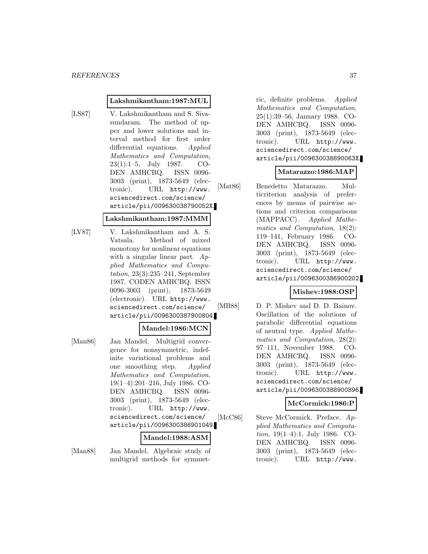#### **Lakshmikantham:1987:MUL**

[LS87] V. Lakshmikantham and S. Sivasundaram. The method of upper and lower solutions and interval method for first order differential equations. Applied Mathematics and Computation, 23(1):1–5, July 1987. CO-DEN AMHCBQ. ISSN 0096- 3003 (print), 1873-5649 (electronic). URL http://www. sciencedirect.com/science/ article/pii/009630038790052X.

#### **Lakshmikantham:1987:MMM**

[LV87] V. Lakshmikantham and A. S. Vatsala. Method of mixed monotony for nonlinear equations with a singular linear part.  $Ap$ plied Mathematics and Computation, 23(3):235–241, September 1987. CODEN AMHCBQ. ISSN 0096-3003 (print), 1873-5649 (electronic). URL http://www. sciencedirect.com/science/ article/pii/0096300387900804.

#### **Mandel:1986:MCN**

[Man86] Jan Mandel. Multigrid convergence for nonsymmetric, indefinite variational problems and one smoothing step. Applied Mathematics and Computation, 19(1–4):201–216, July 1986. CO-DEN AMHCBQ. ISSN 0096- 3003 (print), 1873-5649 (electronic). URL http://www. sciencedirect.com/science/ article/pii/0096300386901049.

### **Mandel:1988:ASM**

[Man88] Jan Mandel. Algebraic study of multigrid methods for symmet-

ric, definite problems. Applied Mathematics and Computation, 25(1):39–56, January 1988. CO-DEN AMHCBQ. ISSN 0096- 3003 (print), 1873-5649 (electronic). URL http://www. sciencedirect.com/science/ article/pii/009630038890063X.

### **Matarazzo:1986:MAP**

[Mat86] Benedetto Matarazzo. Multicriterion analysis of preferences by means of pairwise actions and criterion comparisons (MAPPACC). Applied Mathematics and Computation, 18(2): 119–141, February 1986. CO-DEN AMHCBQ. ISSN 0096- 3003 (print), 1873-5649 (electronic). URL http://www. sciencedirect.com/science/ article/pii/0096300386900202.

### **Mishev:1988:OSP**

[MB88] D. P. Mishev and D. D. Bainov. Oscillation of the solutions of parabolic differential equations of neutral type. Applied Mathematics and Computation, 28(2): 97–111, November 1988. CO-DEN AMHCBQ. ISSN 0096- 3003 (print), 1873-5649 (electronic). URL http://www. sciencedirect.com/science/ article/pii/0096300388900896.

#### **McCormick:1986:P**

[McC86] Steve McCormick. Preface. Applied Mathematics and Computation, 19(1–4):1, July 1986. CO-DEN AMHCBQ. ISSN 0096- 3003 (print), 1873-5649 (electronic). URL http://www.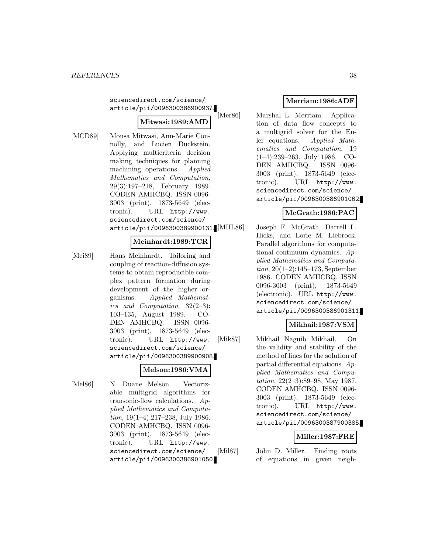sciencedirect.com/science/ article/pii/0096300386900937.

### **Mitwasi:1989:AMD**

- 
- [MCD89] Mousa Mitwasi, Ann-Marie Connolly, and Lucien Duckstein. Applying multicriteria decision making techniques for planning machining operations. Applied Mathematics and Computation, 29(3):197–218, February 1989. CODEN AMHCBQ. ISSN 0096- 3003 (print), 1873-5649 (electronic). URL http://www. sciencedirect.com/science/ article/pii/0096300389900131.

### **Meinhardt:1989:TCR**

[Mei89] Hans Meinhardt. Tailoring and coupling of reaction-diffusion systems to obtain reproducible complex pattern formation during development of the higher organisms. Applied Mathematics and Computation, 32(2–3): 103–135, August 1989. CO-DEN AMHCBQ. ISSN 0096- 3003 (print), 1873-5649 (electronic). URL http://www. sciencedirect.com/science/ article/pii/0096300389900908.

### **Melson:1986:VMA**

[Mel86] N. Duane Melson. Vectorizable multigrid algorithms for transonic-flow calculations. Applied Mathematics and Computation, 19(1–4):217–238, July 1986. CODEN AMHCBQ. ISSN 0096- 3003 (print), 1873-5649 (electronic). URL http://www. sciencedirect.com/science/ article/pii/0096300386901050.

# **Merriam:1986:ADF**

[Mer86] Marshal L. Merriam. Application of data flow concepts to a multigrid solver for the Euler equations. Applied Mathematics and Computation, 19 (1–4):239–263, July 1986. CO-DEN AMHCBQ. ISSN 0096- 3003 (print), 1873-5649 (electronic). URL http://www. sciencedirect.com/science/ article/pii/0096300386901062.

# **McGrath:1986:PAC**

Joseph F. McGrath, Darrell L. Hicks, and Lorie M. Liebrock. Parallel algorithms for computational continuum dynamics. Applied Mathematics and Computation, 20(1–2):145–173, September 1986. CODEN AMHCBQ. ISSN 0096-3003 (print), 1873-5649 (electronic). URL http://www. sciencedirect.com/science/ article/pii/0096300386901311.

# **Mikhail:1987:VSM**

[Mik87] Mikhail Naguib Mikhail. On the validity and stability of the method of lines for the solution of partial differential equations.  $Ap$ plied Mathematics and Computation, 22(2–3):89–98, May 1987. CODEN AMHCBQ. ISSN 0096- 3003 (print), 1873-5649 (electronic). URL http://www. sciencedirect.com/science/ article/pii/0096300387900385.

# **Miller:1987:FRE**

[Mil87] John D. Miller. Finding roots of equations in given neigh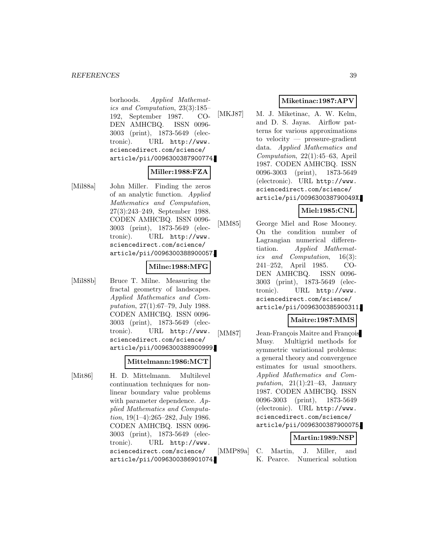borhoods. Applied Mathematics and Computation, 23(3):185– 192, September 1987. CO-DEN AMHCBQ. ISSN 0096- 3003 (print), 1873-5649 (electronic). URL http://www. sciencedirect.com/science/ article/pii/0096300387900774.

### **Miller:1988:FZA**

[Mil88a] John Miller. Finding the zeros of an analytic function. Applied Mathematics and Computation, 27(3):243–249, September 1988. CODEN AMHCBQ. ISSN 0096- 3003 (print), 1873-5649 (electronic). URL http://www. sciencedirect.com/science/ article/pii/0096300388900057.

### **Milne:1988:MFG**

[Mil88b] Bruce T. Milne. Measuring the fractal geometry of landscapes. Applied Mathematics and Computation, 27(1):67–79, July 1988. CODEN AMHCBQ. ISSN 0096- 3003 (print), 1873-5649 (electronic). URL http://www. sciencedirect.com/science/ article/pii/0096300388900999.

### **Mittelmann:1986:MCT**

[Mit86] H. D. Mittelmann. Multilevel continuation techniques for nonlinear boundary value problems with parameter dependence.  $Ap$ plied Mathematics and Computation, 19(1–4):265–282, July 1986. CODEN AMHCBQ. ISSN 0096- 3003 (print), 1873-5649 (electronic). URL http://www. sciencedirect.com/science/ article/pii/0096300386901074.

# **Miketinac:1987:APV**

[MKJ87] M. J. Miketinac, A. W. Kelm, and D. S. Jayas. Airflow patterns for various approximations to velocity — pressure-gradient data. Applied Mathematics and  $Computation, 22(1):45–63, April$ 1987. CODEN AMHCBQ. ISSN 0096-3003 (print), 1873-5649 (electronic). URL http://www. sciencedirect.com/science/ article/pii/009630038790049X.

### **Miel:1985:CNL**

[MM85] George Miel and Rose Mooney. On the condition number of Lagrangian numerical differentiation. Applied Mathematics and Computation, 16(3): 241–252, April 1985. CO-DEN AMHCBQ. ISSN 0096- 3003 (print), 1873-5649 (electronic). URL http://www. sciencedirect.com/science/ article/pii/0096300385900311.

### **Maitre:1987:MMS**

[MM87] Jean-François Maitre and François Musy. Multigrid methods for symmetric variational problems: a general theory and convergence estimates for usual smoothers. Applied Mathematics and Computation,  $21(1):21-43$ , January 1987. CODEN AMHCBQ. ISSN 0096-3003 (print), 1873-5649 (electronic). URL http://www. sciencedirect.com/science/ article/pii/0096300387900075.

### **Martin:1989:NSP**

[MMP89a] C. Martin, J. Miller, and K. Pearce. Numerical solution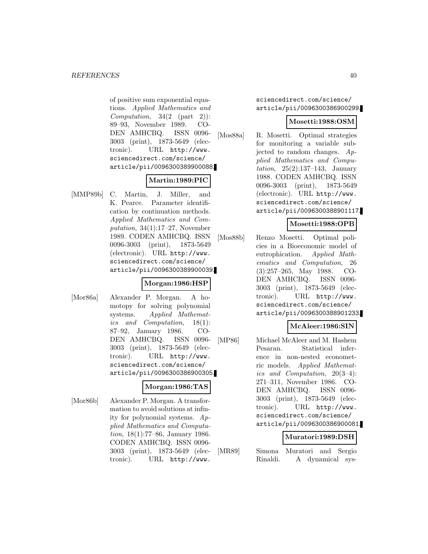of positive sum exponential equations. Applied Mathematics and Computation,  $34(2 \text{ (part 2)})$ : 89–93, November 1989. CO-DEN AMHCBQ. ISSN 0096- 3003 (print), 1873-5649 (electronic). URL http://www. sciencedirect.com/science/ article/pii/0096300389900088.

### **Martin:1989:PIC**

[MMP89b] C. Martin, J. Miller, and K. Pearce. Parameter identification by continuation methods. Applied Mathematics and Computation,  $34(1):17-27$ , November 1989. CODEN AMHCBQ. ISSN 0096-3003 (print), 1873-5649 (electronic). URL http://www. sciencedirect.com/science/ article/pii/0096300389900039.

### **Morgan:1986:HSP**

[Mor86a] Alexander P. Morgan. A homotopy for solving polynomial systems. Applied Mathematics and Computation, 18(1): 87–92, January 1986. CO-DEN AMHCBQ. ISSN 0096- 3003 (print), 1873-5649 (electronic). URL http://www. sciencedirect.com/science/ article/pii/0096300386900305.

#### **Morgan:1986:TAS**

[Mor86b] Alexander P. Morgan. A transformation to avoid solutions at infinity for polynomial systems. Applied Mathematics and Computation, 18(1):77–86, January 1986. CODEN AMHCBQ. ISSN 0096- 3003 (print), 1873-5649 (electronic). URL http://www.

sciencedirect.com/science/ article/pii/0096300386900299.

### **Mosetti:1988:OSM**

[Mos88a] R. Mosetti. Optimal strategies for monitoring a variable subjected to random changes. Applied Mathematics and Computation, 25(2):137–143, January 1988. CODEN AMHCBQ. ISSN 0096-3003 (print), 1873-5649 (electronic). URL http://www. sciencedirect.com/science/ article/pii/0096300388901117.

### **Mosetti:1988:OPB**

[Mos88b] Renzo Mosetti. Optimal policies in a Bioeconomic model of eutrophication. Applied Mathematics and Computation, 26 (3):257–265, May 1988. CO-DEN AMHCBQ. ISSN 0096- 3003 (print), 1873-5649 (electronic). URL http://www. sciencedirect.com/science/ article/pii/0096300388901233.

# **McAleer:1986:SIN**

[MP86] Michael McAleer and M. Hashem Pesaran. Statistical inference in non-nested econometric models. Applied Mathematics and Computation, 20(3–4): 271–311, November 1986. CO-DEN AMHCBQ. ISSN 0096- 3003 (print), 1873-5649 (electronic). URL http://www. sciencedirect.com/science/ article/pii/0096300386900081.

#### **Muratori:1989:DSH**

[MR89] Simona Muratori and Sergio Rinaldi. A dynamical sys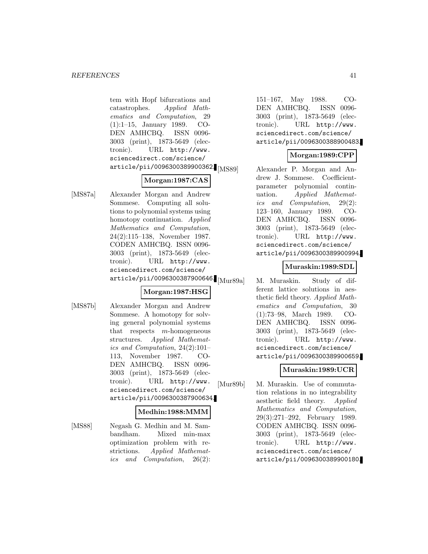tem with Hopf bifurcations and catastrophes. Applied Mathematics and Computation, 29 (1):1–15, January 1989. CO-DEN AMHCBQ. ISSN 0096- 3003 (print), 1873-5649 (electronic). URL http://www. sciencedirect.com/science/  $\arotic1e/\pi i/0096300389900362$ . [MS89]

### **Morgan:1987:CAS**

[MS87a] Alexander Morgan and Andrew Sommese. Computing all solutions to polynomial systems using homotopy continuation. Applied Mathematics and Computation, 24(2):115–138, November 1987. CODEN AMHCBQ. ISSN 0096- 3003 (print), 1873-5649 (electronic). URL http://www. sciencedirect.com/science/ article/pii/0096300387900646. Mur89a

### **Morgan:1987:HSG**

[MS87b] Alexander Morgan and Andrew Sommese. A homotopy for solving general polynomial systems that respects m-homogeneous structures. Applied Mathematics and Computation, 24(2):101– 113, November 1987. CO-DEN AMHCBQ. ISSN 0096- 3003 (print), 1873-5649 (electronic). URL http://www. sciencedirect.com/science/ article/pii/0096300387900634.

#### **Medhin:1988:MMM**

[MS88] Negash G. Medhin and M. Sambandham. Mixed min-max optimization problem with restrictions. Applied Mathematics and Computation, 26(2):

151–167, May 1988. CO-DEN AMHCBQ. ISSN 0096- 3003 (print), 1873-5649 (electronic). URL http://www. sciencedirect.com/science/ article/pii/0096300388900483.

### **Morgan:1989:CPP**

Alexander P. Morgan and Andrew J. Sommese. Coefficientparameter polynomial continuation. Applied Mathematics and Computation, 29(2): 123–160, January 1989. CO-DEN AMHCBQ. ISSN 0096- 3003 (print), 1873-5649 (electronic). URL http://www. sciencedirect.com/science/ article/pii/0096300389900994.

### **Muraskin:1989:SDL**

M. Muraskin. Study of different lattice solutions in aesthetic field theory. Applied Mathematics and Computation, 30 (1):73–98, March 1989. CO-DEN AMHCBQ. ISSN 0096- 3003 (print), 1873-5649 (electronic). URL http://www. sciencedirect.com/science/ article/pii/0096300389900659.

# **Muraskin:1989:UCR**

[Mur89b] M. Muraskin. Use of commutation relations in no integrability aesthetic field theory. Applied Mathematics and Computation, 29(3):271–292, February 1989. CODEN AMHCBQ. ISSN 0096- 3003 (print), 1873-5649 (electronic). URL http://www. sciencedirect.com/science/ article/pii/0096300389900180.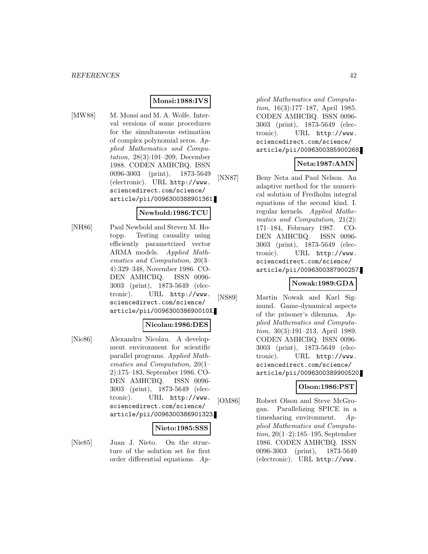# **Monsi:1988:IVS**

[MW88] M. Monsi and M. A. Wolfe. Interval versions of some procedures for the simultaneous estimation of complex polynomial zeros. Applied Mathematics and Computation, 28(3):191–209, December 1988. CODEN AMHCBQ. ISSN 0096-3003 (print), 1873-5649 (electronic). URL http://www. sciencedirect.com/science/ article/pii/0096300388901361.

#### **Newbold:1986:TCU**

[NH86] Paul Newbold and Steven M. Hotopp. Testing causality using efficiently parametrized vector ARMA models. Applied Mathematics and Computation, 20(3– 4):329–348, November 1986. CO-DEN AMHCBQ. ISSN 0096- 3003 (print), 1873-5649 (electronic). URL http://www. sciencedirect.com/science/ article/pii/009630038690010X.

#### **Nicolau:1986:DES**

[Nic86] Alexandru Nicolau. A development environment for scientific parallel programs. Applied Mathematics and Computation, 20(1– 2):175–183, September 1986. CO-DEN AMHCBQ. ISSN 0096- 3003 (print), 1873-5649 (electronic). URL http://www. sciencedirect.com/science/ article/pii/0096300386901323.

#### **Nieto:1985:SSS**

[Nie85] Juan J. Nieto. On the structure of the solution set for first order differential equations. Ap-

plied Mathematics and Computation, 16(3):177–187, April 1985. CODEN AMHCBQ. ISSN 0096- 3003 (print), 1873-5649 (electronic). URL http://www. sciencedirect.com/science/ article/pii/0096300385900268.

### **Neta:1987:AMN**

[NN87] Beny Neta and Paul Nelson. An adaptive method for the numerical solution of Fredholm integral equations of the second kind. I. regular kernels. Applied Mathematics and Computation, 21(2): 171–184, February 1987. CO-DEN AMHCBQ. ISSN 0096- 3003 (print), 1873-5649 (electronic). URL http://www. sciencedirect.com/science/ article/pii/0096300387900257.

### **Nowak:1989:GDA**

[NS89] Martin Nowak and Karl Sigmund. Game-dynamical aspects of the prisoner's dilemma. Applied Mathematics and Computation, 30(3):191–213, April 1989. CODEN AMHCBQ. ISSN 0096- 3003 (print), 1873-5649 (electronic). URL http://www. sciencedirect.com/science/ article/pii/0096300389900520.

### **Olson:1986:PST**

[OM86] Robert Olson and Steve McGrogan. Parallelizing SPICE in a timesharing environment. Applied Mathematics and Computation, 20(1–2):185–195, September 1986. CODEN AMHCBQ. ISSN 0096-3003 (print), 1873-5649 (electronic). URL http://www.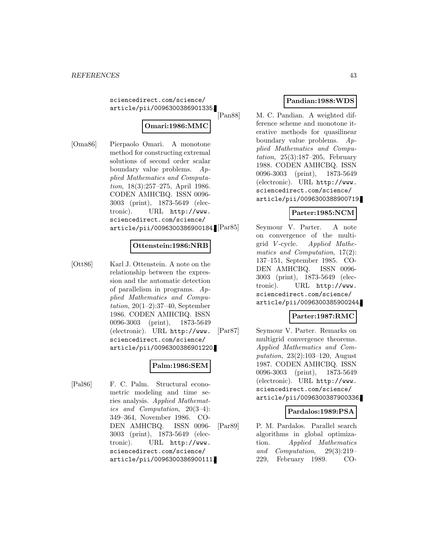sciencedirect.com/science/ article/pii/0096300386901335.

# **Omari:1986:MMC**

[Oma86] Pierpaolo Omari. A monotone method for constructing extremal solutions of second order scalar boundary value problems. Applied Mathematics and Computation, 18(3):257–275, April 1986. CODEN AMHCBQ. ISSN 0096- 3003 (print), 1873-5649 (electronic). URL http://www. sciencedirect.com/science/ article/pii/0096300386900184.[Par85]

### **Ottenstein:1986:NRB**

[Ott86] Karl J. Ottenstein. A note on the relationship between the expression and the automatic detection of parallelism in programs. Applied Mathematics and Compu*tation*,  $20(1-2):37-40$ , September 1986. CODEN AMHCBQ. ISSN 0096-3003 (print), 1873-5649 (electronic). URL http://www. sciencedirect.com/science/ article/pii/0096300386901220.

#### **Palm:1986:SEM**

[Pal86] F. C. Palm. Structural econometric modeling and time series analysis. Applied Mathematics and Computation, 20(3–4): 349–364, November 1986. CO-DEN AMHCBQ. ISSN 0096- 3003 (print), 1873-5649 (electronic). URL http://www. sciencedirect.com/science/ article/pii/0096300386900111.

# **Pandian:1988:WDS**

[Pan88] M. C. Pandian. A weighted difference scheme and monotone iterative methods for quasilinear boundary value problems. Applied Mathematics and Computation,  $25(3):187-205$ , February 1988. CODEN AMHCBQ. ISSN 0096-3003 (print), 1873-5649 (electronic). URL http://www. sciencedirect.com/science/ article/pii/0096300388900719.

### **Parter:1985:NCM**

Seymour V. Parter. A note on convergence of the multigrid V -cycle. Applied Mathematics and Computation, 17(2): 137–151, September 1985. CO-DEN AMHCBQ. ISSN 0096- 3003 (print), 1873-5649 (electronic). URL http://www. sciencedirect.com/science/ article/pii/0096300385900244.

### **Parter:1987:RMC**

[Par87] Seymour V. Parter. Remarks on multigrid convergence theorems. Applied Mathematics and Computation, 23(2):103–120, August 1987. CODEN AMHCBQ. ISSN 0096-3003 (print), 1873-5649 (electronic). URL http://www. sciencedirect.com/science/ article/pii/0096300387900336.

### **Pardalos:1989:PSA**

[Par89] P. M. Pardalos. Parallel search algorithms in global optimization. Applied Mathematics and Computation, 29(3):219– 229, February 1989. CO-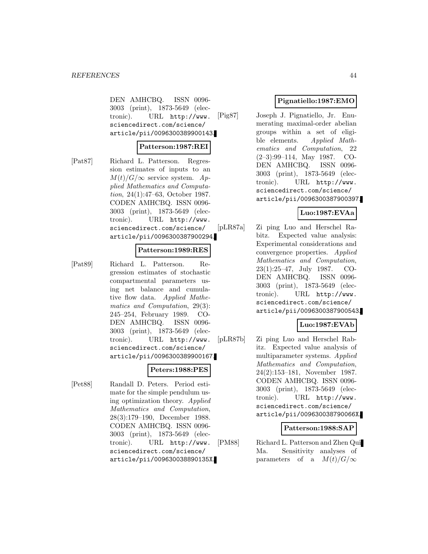DEN AMHCBQ. ISSN 0096- 3003 (print), 1873-5649 (electronic). URL http://www. sciencedirect.com/science/ article/pii/0096300389900143.

#### **Patterson:1987:REI**

[Pat87] Richard L. Patterson. Regression estimates of inputs to an  $M(t)/G/\infty$  service system. Applied Mathematics and Computation, 24(1):47–63, October 1987. CODEN AMHCBQ. ISSN 0096- 3003 (print), 1873-5649 (electronic). URL http://www. sciencedirect.com/science/ article/pii/0096300387900294.

#### **Patterson:1989:RES**

[Pat89] Richard L. Patterson. Regression estimates of stochastic compartmental parameters using net balance and cumulative flow data. Applied Mathematics and Computation, 29(3): 245–254, February 1989. CO-DEN AMHCBQ. ISSN 0096- 3003 (print), 1873-5649 (electronic). URL http://www. sciencedirect.com/science/ article/pii/0096300389900167.

**Peters:1988:PES** [Pet88] Randall D. Peters. Period estimate for the simple pendulum using optimization theory. Applied Mathematics and Computation, 28(3):179–190, December 1988. CODEN AMHCBQ. ISSN 0096- 3003 (print), 1873-5649 (electronic). URL http://www. sciencedirect.com/science/ article/pii/009630038890135X.

### **Pignatiello:1987:EMO**

[Pig87] Joseph J. Pignatiello, Jr. Enumerating maximal-order abelian groups within a set of eligible elements. Applied Mathematics and Computation, 22 (2–3):99–114, May 1987. CO-DEN AMHCBQ. ISSN 0096- 3003 (print), 1873-5649 (electronic). URL http://www. sciencedirect.com/science/ article/pii/0096300387900397.

### **Luo:1987:EVAa**

[pLR87a] Zi ping Luo and Herschel Rabitz. Expected value analysis: Experimental considerations and convergence properties. Applied Mathematics and Computation, 23(1):25–47, July 1987. CO-DEN AMHCBQ. ISSN 0096- 3003 (print), 1873-5649 (electronic). URL http://www. sciencedirect.com/science/ article/pii/0096300387900543.

# **Luo:1987:EVAb**

[pLR87b] Zi ping Luo and Herschel Rabitz. Expected value analysis of multiparameter systems. Applied Mathematics and Computation, 24(2):153–181, November 1987. CODEN AMHCBQ. ISSN 0096- 3003 (print), 1873-5649 (electronic). URL http://www. sciencedirect.com/science/ article/pii/009630038790066X.

#### **Patterson:1988:SAP**

[PM88] Richard L. Patterson and Zhen Qui Ma. Sensitivity analyses of parameters of a  $M(t)/G/\infty$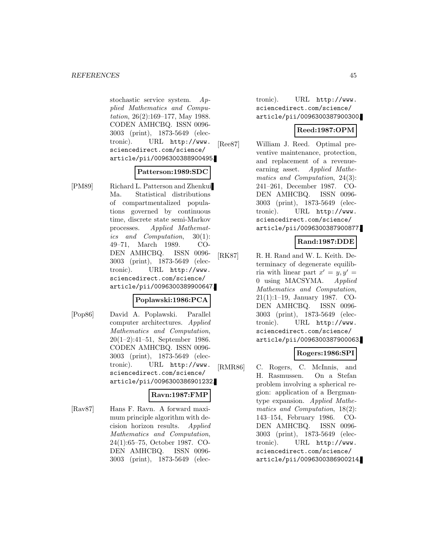stochastic service system. Applied Mathematics and Computation, 26(2):169–177, May 1988. CODEN AMHCBQ. ISSN 0096- 3003 (print), 1873-5649 (electronic). URL http://www. sciencedirect.com/science/ article/pii/0096300388900495.

#### **Patterson:1989:SDC**

[PM89] Richard L. Patterson and Zhenkui Ma. Statistical distributions of compartmentalized populations governed by continuous time, discrete state semi-Markov processes. Applied Mathematics and Computation, 30(1): 49–71, March 1989. CO-DEN AMHCBQ. ISSN 0096- 3003 (print), 1873-5649 (electronic). URL http://www. sciencedirect.com/science/ article/pii/0096300389900647.

### **Poplawski:1986:PCA**

[Pop86] David A. Poplawski. Parallel computer architectures. Applied Mathematics and Computation, 20(1–2):41–51, September 1986. CODEN AMHCBQ. ISSN 0096- 3003 (print), 1873-5649 (electronic). URL http://www. sciencedirect.com/science/ article/pii/0096300386901232.

### **Ravn:1987:FMP**

[Rav87] Hans F. Ravn. A forward maximum principle algorithm with decision horizon results. Applied Mathematics and Computation, 24(1):65–75, October 1987. CO-DEN AMHCBQ. ISSN 0096- 3003 (print), 1873-5649 (electronic). URL http://www. sciencedirect.com/science/ article/pii/0096300387900300.

### **Reed:1987:OPM**

[Ree87] William J. Reed. Optimal preventive maintenance, protection, and replacement of a revenueearning asset. Applied Mathematics and Computation, 24(3): 241–261, December 1987. CO-DEN AMHCBQ. ISSN 0096- 3003 (print), 1873-5649 (electronic). URL http://www. sciencedirect.com/science/ article/pii/0096300387900877.

### **Rand:1987:DDE**

[RK87] R. H. Rand and W. L. Keith. Determinacy of degenerate equilibria with linear part  $x' = y, y' =$ 0 using MACSYMA. Applied Mathematics and Computation, 21(1):1–19, January 1987. CO-DEN AMHCBQ. ISSN 0096- 3003 (print), 1873-5649 (electronic). URL http://www. sciencedirect.com/science/ article/pii/0096300387900063.

### **Rogers:1986:SPI**

[RMR86] C. Rogers, C. McInnis, and H. Rasmussen. On a Stefan problem involving a spherical region: application of a Bergmantype expansion. Applied Mathematics and Computation, 18(2): 143–154, February 1986. CO-DEN AMHCBQ. ISSN 0096- 3003 (print), 1873-5649 (electronic). URL http://www. sciencedirect.com/science/ article/pii/0096300386900214.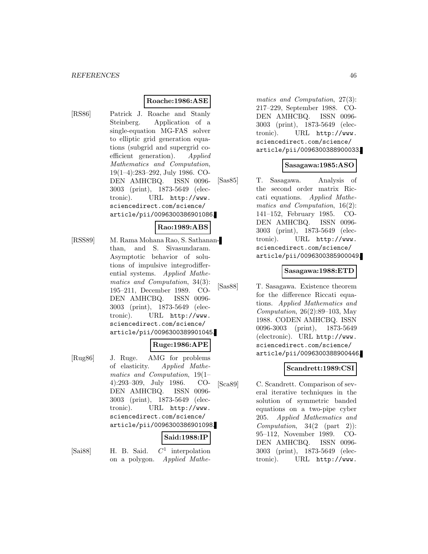### **Roache:1986:ASE**

[RS86] Patrick J. Roache and Stanly Steinberg. Application of a single-equation MG-FAS solver to elliptic grid generation equations (subgrid and supergrid coefficient generation). Applied Mathematics and Computation, 19(1–4):283–292, July 1986. CO-DEN AMHCBQ. ISSN 0096- 3003 (print), 1873-5649 (electronic). URL http://www. sciencedirect.com/science/ article/pii/0096300386901086.

#### **Rao:1989:ABS**

[RSS89] M. Rama Mohana Rao, S. Sathananthan, and S. Sivasundaram. Asymptotic behavior of solutions of impulsive integrodifferential systems. Applied Mathematics and Computation, 34(3): 195–211, December 1989. CO-DEN AMHCBQ. ISSN 0096- 3003 (print), 1873-5649 (electronic). URL http://www. sciencedirect.com/science/ article/pii/0096300389901045.

#### **Ruge:1986:APE**

[Rug86] J. Ruge. AMG for problems of elasticity. Applied Mathematics and Computation, 19(1– 4):293–309, July 1986. CO-DEN AMHCBQ. ISSN 0096- 3003 (print), 1873-5649 (electronic). URL http://www. sciencedirect.com/science/ article/pii/0096300386901098.

# **Said:1988:IP**

- 
- [Sai88] H. B. Said.  $C^1$  interpolation on a polygon. Applied Mathe-

matics and Computation, 27(3): 217–229, September 1988. CO-DEN AMHCBQ. ISSN 0096- 3003 (print), 1873-5649 (electronic). URL http://www. sciencedirect.com/science/ article/pii/0096300388900033.

### **Sasagawa:1985:ASO**

[Sas85] T. Sasagawa. Analysis of the second order matrix Riccati equations. Applied Mathematics and Computation, 16(2): 141–152, February 1985. CO-DEN AMHCBQ. ISSN 0096- 3003 (print), 1873-5649 (electronic). URL http://www. sciencedirect.com/science/ article/pii/0096300385900049.

#### **Sasagawa:1988:ETD**

[Sas88] T. Sasagawa. Existence theorem for the difference Riccati equations. Applied Mathematics and Computation, 26(2):89–103, May 1988. CODEN AMHCBQ. ISSN 0096-3003 (print), 1873-5649 (electronic). URL http://www. sciencedirect.com/science/ article/pii/0096300388900446.

### **Scandrett:1989:CSI**

[Sca89] C. Scandrett. Comparison of several iterative techniques in the solution of symmetric banded equations on a two-pipe cyber 205. Applied Mathematics and Computation,  $34(2 \text{ (part 2)})$ : 95–112, November 1989. CO-DEN AMHCBQ. ISSN 0096- 3003 (print), 1873-5649 (electronic). URL http://www.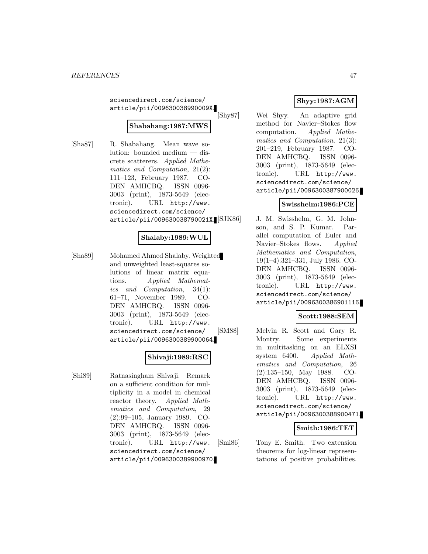sciencedirect.com/science/ article/pii/009630038990009X.

# **Shabahang:1987:MWS**

[Sha87] R. Shabahang. Mean wave solution: bounded medium — discrete scatterers. Applied Mathematics and Computation, 21(2): 111–123, February 1987. CO-DEN AMHCBQ. ISSN 0096- 3003 (print), 1873-5649 (electronic). URL http://www. sciencedirect.com/science/ article/pii/009630038790021X.

### **Shalaby:1989:WUL**

[Sha89] Mohamed Ahmed Shalaby. Weighted and unweighted least-squares solutions of linear matrix equations. Applied Mathematics and Computation, 34(1): 61–71, November 1989. CO-DEN AMHCBQ. ISSN 0096- 3003 (print), 1873-5649 (electronic). URL http://www. sciencedirect.com/science/ article/pii/0096300389900064.

### **Shivaji:1989:RSC**

[Shi89] Ratnasingham Shivaji. Remark on a sufficient condition for multiplicity in a model in chemical reactor theory. Applied Mathematics and Computation, 29 (2):99–105, January 1989. CO-DEN AMHCBQ. ISSN 0096- 3003 (print), 1873-5649 (electronic). URL http://www. sciencedirect.com/science/ article/pii/0096300389900970.

# **Shyy:1987:AGM**

[Shy87] Wei Shyy. An adaptive grid method for Navier–Stokes flow computation. Applied Mathematics and Computation, 21(3): 201–219, February 1987. CO-DEN AMHCBQ. ISSN 0096- 3003 (print), 1873-5649 (electronic). URL http://www. sciencedirect.com/science/ article/pii/0096300387900026.

# **Swisshelm:1986:PCE**

J. M. Swisshelm, G. M. Johnson, and S. P. Kumar. Parallel computation of Euler and Navier–Stokes flows. Applied Mathematics and Computation, 19(1–4):321–331, July 1986. CO-DEN AMHCBQ. ISSN 0096- 3003 (print), 1873-5649 (electronic). URL http://www. sciencedirect.com/science/ article/pii/0096300386901116.

### **Scott:1988:SEM**

[SM88] Melvin R. Scott and Gary R. Montry. Some experiments in multitasking on an ELXSI system 6400. Applied Mathematics and Computation, 26 (2):135–150, May 1988. CO-DEN AMHCBQ. ISSN 0096- 3003 (print), 1873-5649 (electronic). URL http://www. sciencedirect.com/science/ article/pii/0096300388900471.

# **Smith:1986:TET**

[Smi86] Tony E. Smith. Two extension theorems for log-linear representations of positive probabilities.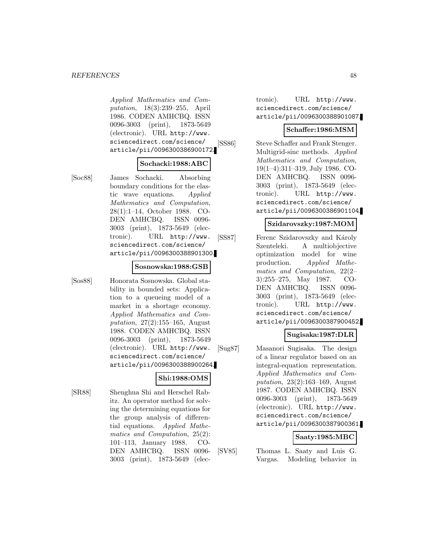Applied Mathematics and Computation, 18(3):239–255, April 1986. CODEN AMHCBQ. ISSN 0096-3003 (print), 1873-5649 (electronic). URL http://www. sciencedirect.com/science/ article/pii/0096300386900172.

### **Sochacki:1988:ABC**

[Soc88] James Sochacki. Absorbing boundary conditions for the elastic wave equations. Applied Mathematics and Computation, 28(1):1–14, October 1988. CO-DEN AMHCBQ. ISSN 0096- 3003 (print), 1873-5649 (electronic). URL http://www. sciencedirect.com/science/ article/pii/0096300388901300.

#### **Sosnowska:1988:GSB**

[Sos88] Honorata Sosnowska. Global stability in bounded sets: Application to a queueing model of a market in a shortage economy. Applied Mathematics and Computation, 27(2):155–165, August 1988. CODEN AMHCBQ. ISSN 0096-3003 (print), 1873-5649 (electronic). URL http://www. sciencedirect.com/science/ article/pii/0096300388900264.

# **Shi:1988:OMS**

[SR88] Shenghua Shi and Herschel Rabitz. An operator method for solving the determining equations for the group analysis of differential equations. Applied Mathematics and Computation, 25(2): 101–113, January 1988. CO-DEN AMHCBQ. ISSN 0096- 3003 (print), 1873-5649 (electronic). URL http://www. sciencedirect.com/science/ article/pii/0096300388901087.

#### **Schaffer:1986:MSM**

[SS86] Steve Schaffer and Frank Stenger. Multigrid-sinc methods. Applied Mathematics and Computation, 19(1–4):311–319, July 1986. CO-DEN AMHCBQ. ISSN 0096- 3003 (print), 1873-5649 (electronic). URL http://www. sciencedirect.com/science/ article/pii/0096300386901104.

### **Szidarovszky:1987:MOM**

[SS87] Ferenc Szidarovszky and Károly Szenteleki. A multiobjective optimization model for wine production. Applied Mathematics and Computation, 22(2– 3):255–275, May 1987. CO-DEN AMHCBQ. ISSN 0096- 3003 (print), 1873-5649 (electronic). URL http://www. sciencedirect.com/science/ article/pii/0096300387900452.

## **Sugisaka:1987:DLR**

[Sug87] Masanori Sugisaka. The design of a linear regulator based on an integral-equation representation. Applied Mathematics and Computation, 23(2):163–169, August 1987. CODEN AMHCBQ. ISSN 0096-3003 (print), 1873-5649 (electronic). URL http://www. sciencedirect.com/science/ article/pii/0096300387900361.

#### **Saaty:1985:MBC**

[SV85] Thomas L. Saaty and Luis G. Vargas. Modeling behavior in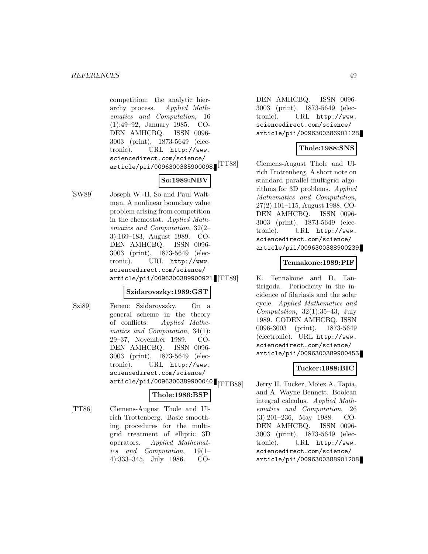competition: the analytic hierarchy process. Applied Mathematics and Computation, 16 (1):49–92, January 1985. CO-DEN AMHCBQ. ISSN 0096- 3003 (print), 1873-5649 (electronic). URL http://www. sciencedirect.com/science/ article/pii/0096300385900098.

# **So:1989:NBV**

[SW89] Joseph W.-H. So and Paul Waltman. A nonlinear boundary value problem arising from competition in the chemostat. Applied Mathematics and Computation, 32(2– 3):169–183, August 1989. CO-DEN AMHCBQ. ISSN 0096- 3003 (print), 1873-5649 (electronic). URL http://www. sciencedirect.com/science/ article/pii/0096300389900921.

#### **Szidarovszky:1989:GST**

- 
- [Szi89] Ferenc Szidarovszky. On a general scheme in the theory of conflicts. Applied Mathematics and Computation, 34(1): 29–37, November 1989. CO-DEN AMHCBQ. ISSN 0096- 3003 (print), 1873-5649 (electronic). URL http://www. sciencedirect.com/science/ article/pii/0096300389900040.<br>[TTB88]

### **Thole:1986:BSP**

[TT86] Clemens-August Thole and Ulrich Trottenberg. Basic smoothing procedures for the multigrid treatment of elliptic 3D operators. Applied Mathematics and Computation, 19(1– 4):333–345, July 1986. CO-

DEN AMHCBQ. ISSN 0096- 3003 (print), 1873-5649 (electronic). URL http://www. sciencedirect.com/science/ article/pii/0096300386901128.

# **Thole:1988:SNS**

[TT88] Clemens-August Thole and Ulrich Trottenberg. A short note on standard parallel multigrid algorithms for 3D problems. Applied Mathematics and Computation, 27(2):101–115, August 1988. CO-DEN AMHCBQ. ISSN 0096- 3003 (print), 1873-5649 (electronic). URL http://www. sciencedirect.com/science/ article/pii/0096300388900239.

### **Tennakone:1989:PIF**

K. Tennakone and D. Tantirigoda. Periodicity in the incidence of filariasis and the solar cycle. Applied Mathematics and Computation,  $32(1):35-43$ , July 1989. CODEN AMHCBQ. ISSN 0096-3003 (print), 1873-5649 (electronic). URL http://www. sciencedirect.com/science/ article/pii/0096300389900453.

# **Tucker:1988:BIC**

Jerry H. Tucker, Moiez A. Tapia, and A. Wayne Bennett. Boolean integral calculus. Applied Mathematics and Computation, 26 (3):201–236, May 1988. CO-DEN AMHCBQ. ISSN 0096- 3003 (print), 1873-5649 (electronic). URL http://www. sciencedirect.com/science/ article/pii/0096300388901208.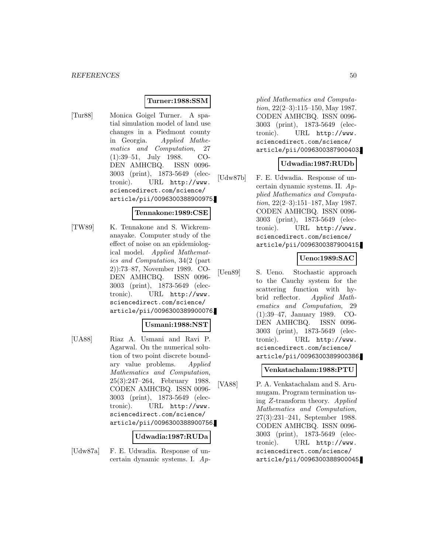### **Turner:1988:SSM**

[Tur88] Monica Goigel Turner. A spatial simulation model of land use changes in a Piedmont county in Georgia. Applied Mathematics and Computation, 27 (1):39–51, July 1988. CO-DEN AMHCBQ. ISSN 0096- 3003 (print), 1873-5649 (electronic). URL http://www. sciencedirect.com/science/ article/pii/0096300388900975.

## **Tennakone:1989:CSE**

[TW89] K. Tennakone and S. Wickremanayake. Computer study of the effect of noise on an epidemiological model. Applied Mathematics and Computation, 34(2 (part 2)):73–87, November 1989. CO-DEN AMHCBQ. ISSN 0096- 3003 (print), 1873-5649 (electronic). URL http://www. sciencedirect.com/science/ article/pii/0096300389900076.

#### **Usmani:1988:NST**

[UA88] Riaz A. Usmani and Ravi P. Agarwal. On the numerical solution of two point discrete boundary value problems. Applied Mathematics and Computation, 25(3):247–264, February 1988. CODEN AMHCBQ. ISSN 0096- 3003 (print), 1873-5649 (electronic). URL http://www. sciencedirect.com/science/ article/pii/0096300388900756.

#### **Udwadia:1987:RUDa**

[Udw87a] F. E. Udwadia. Response of uncertain dynamic systems. I. Ap-

plied Mathematics and Computation, 22(2–3):115–150, May 1987. CODEN AMHCBQ. ISSN 0096- 3003 (print), 1873-5649 (electronic). URL http://www. sciencedirect.com/science/ article/pii/0096300387900403.

### **Udwadia:1987:RUDb**

[Udw87b] F. E. Udwadia. Response of uncertain dynamic systems. II. Applied Mathematics and Computation, 22(2–3):151–187, May 1987. CODEN AMHCBQ. ISSN 0096- 3003 (print), 1873-5649 (electronic). URL http://www. sciencedirect.com/science/ article/pii/0096300387900415.

### **Ueno:1989:SAC**

[Uen89] S. Ueno. Stochastic approach to the Cauchy system for the scattering function with hybrid reflector. Applied Mathematics and Computation, 29 (1):39–47, January 1989. CO-DEN AMHCBQ. ISSN 0096- 3003 (print), 1873-5649 (electronic). URL http://www. sciencedirect.com/science/ article/pii/0096300389900386.

#### **Venkatachalam:1988:PTU**

[VA88] P. A. Venkatachalam and S. Arumugam. Program termination using Z-transform theory. Applied Mathematics and Computation, 27(3):231–241, September 1988. CODEN AMHCBQ. ISSN 0096- 3003 (print), 1873-5649 (electronic). URL http://www. sciencedirect.com/science/ article/pii/0096300388900045.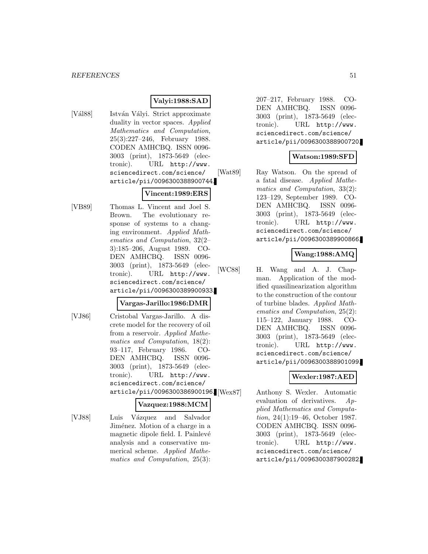### **Valyi:1988:SAD**

[Vál88] István Vályi. Strict approximate duality in vector spaces. Applied Mathematics and Computation, 25(3):227–246, February 1988. CODEN AMHCBQ. ISSN 0096- 3003 (print), 1873-5649 (electronic). URL http://www. sciencedirect.com/science/ article/pii/0096300388900744.

### **Vincent:1989:ERS**

[VB89] Thomas L. Vincent and Joel S. Brown. The evolutionary response of systems to a changing environment. Applied Mathematics and Computation, 32(2– 3):185–206, August 1989. CO-DEN AMHCBQ. ISSN 0096- 3003 (print), 1873-5649 (electronic). URL http://www. sciencedirect.com/science/ article/pii/0096300389900933.

#### **Vargas-Jarillo:1986:DMR**

[VJ86] Cristobal Vargas-Jarillo. A discrete model for the recovery of oil from a reservoir. Applied Mathematics and Computation, 18(2): 93–117, February 1986. CO-DEN AMHCBQ. ISSN 0096- 3003 (print), 1873-5649 (electronic). URL http://www. sciencedirect.com/science/ article/pii/0096300386900196.

#### **Vazquez:1988:MCM**

[VJ88] Luis Vázquez and Salvador Jiménez. Motion of a charge in a magnetic dipole field. I. Painlevé analysis and a conservative numerical scheme. Applied Mathematics and Computation, 25(3):

207–217, February 1988. CO-DEN AMHCBQ. ISSN 0096- 3003 (print), 1873-5649 (electronic). URL http://www. sciencedirect.com/science/ article/pii/0096300388900720.

### **Watson:1989:SFD**

[Wat89] Ray Watson. On the spread of a fatal disease. Applied Mathematics and Computation, 33(2): 123–129, September 1989. CO-DEN AMHCBQ. ISSN 0096- 3003 (print), 1873-5649 (electronic). URL http://www. sciencedirect.com/science/ article/pii/0096300389900866.

# **Wang:1988:AMQ**

[WC88] H. Wang and A. J. Chapman. Application of the modified quasilinearization algorithm to the construction of the contour of turbine blades. Applied Mathematics and Computation, 25(2): 115–122, January 1988. CO-DEN AMHCBQ. ISSN 0096- 3003 (print), 1873-5649 (electronic). URL http://www. sciencedirect.com/science/ article/pii/0096300388901099.

### **Wexler:1987:AED**

Anthony S. Wexler. Automatic evaluation of derivatives. Applied Mathematics and Computation, 24(1):19–46, October 1987. CODEN AMHCBQ. ISSN 0096- 3003 (print), 1873-5649 (electronic). URL http://www. sciencedirect.com/science/ article/pii/0096300387900282.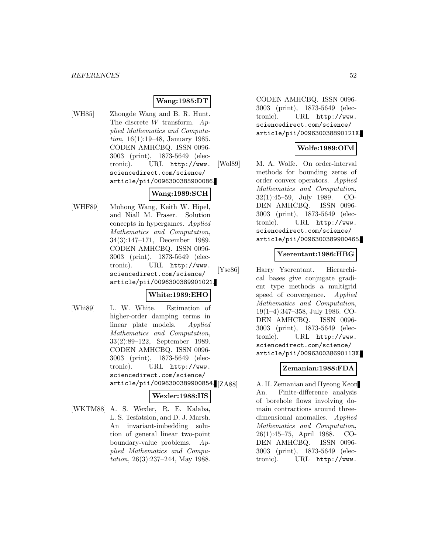# **Wang:1985:DT**

[WH85] Zhongde Wang and B. R. Hunt. The discrete  $W$  transform.  $Ap$ plied Mathematics and Computation, 16(1):19–48, January 1985. CODEN AMHCBQ. ISSN 0096- 3003 (print), 1873-5649 (electronic). URL http://www. sciencedirect.com/science/ article/pii/0096300385900086.

### **Wang:1989:SCH**

[WHF89] Muhong Wang, Keith W. Hipel, and Niall M. Fraser. Solution concepts in hypergames. Applied Mathematics and Computation, 34(3):147–171, December 1989. CODEN AMHCBQ. ISSN 0096- 3003 (print), 1873-5649 (electronic). URL http://www. sciencedirect.com/science/ article/pii/0096300389901021.

### **White:1989:EHO**

- 
- [Whi89] L. W. White. Estimation of higher-order damping terms in linear plate models. Applied Mathematics and Computation, 33(2):89–122, September 1989. CODEN AMHCBQ. ISSN 0096- 3003 (print), 1873-5649 (electronic). URL http://www. sciencedirect.com/science/ article/pii/0096300389900854.

#### **Wexler:1988:IIS**

[WKTM88] A. S. Wexler, R. E. Kalaba, L. S. Tesfatsion, and D. J. Marsh. An invariant-imbedding solution of general linear two-point boundary-value problems. Applied Mathematics and Computation, 26(3):237–244, May 1988.

CODEN AMHCBQ. ISSN 0096- 3003 (print), 1873-5649 (electronic). URL http://www. sciencedirect.com/science/ article/pii/009630038890121X.

### **Wolfe:1989:OIM**

[Wol89] M. A. Wolfe. On order-interval methods for bounding zeros of order convex operators. Applied Mathematics and Computation, 32(1):45–59, July 1989. CO-DEN AMHCBQ. ISSN 0096- 3003 (print), 1873-5649 (electronic). URL http://www. sciencedirect.com/science/ article/pii/0096300389900465.

### **Yserentant:1986:HBG**

[Yse86] Harry Yserentant. Hierarchical bases give conjugate gradient type methods a multigrid speed of convergence. Applied Mathematics and Computation, 19(1–4):347–358, July 1986. CO-DEN AMHCBQ. ISSN 0096- 3003 (print), 1873-5649 (electronic). URL http://www. sciencedirect.com/science/ article/pii/009630038690113X.

# **Zemanian:1988:FDA**

A. H. Zemanian and Hyeong Keon An. Finite-difference analysis of borehole flows involving domain contractions around threedimensional anomalies. Applied Mathematics and Computation, 26(1):45–75, April 1988. CO-DEN AMHCBQ. ISSN 0096- 3003 (print), 1873-5649 (electronic). URL http://www.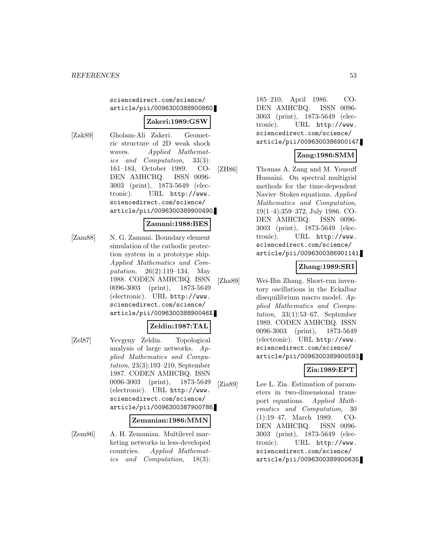#### sciencedirect.com/science/ article/pii/0096300388900860.

### **Zakeri:1989:GSW**

[Zak89] Gholam-Ali Zakeri. Geometric structure of 2D weak shock waves. Applied Mathematics and Computation, 33(3): 161–183, October 1989. CO-DEN AMHCBQ. ISSN 0096- 3003 (print), 1873-5649 (electronic). URL http://www. sciencedirect.com/science/ article/pii/0096300389900490.

### **Zamani:1988:BES**

[Zam88] N. G. Zamani. Boundary element simulation of the cathodic protection system in a prototype ship. Applied Mathematics and Computation, 26(2):119–134, May 1988. CODEN AMHCBQ. ISSN 0096-3003 (print), 1873-5649 (electronic). URL http://www. sciencedirect.com/science/ article/pii/009630038890046X.

#### **Zeldin:1987:TAL**

[Zel87] Yevgeny Zeldin. Topological analysis of large networks. Applied Mathematics and Computation, 23(3):193–210, September 1987. CODEN AMHCBQ. ISSN 0096-3003 (print), 1873-5649 (electronic). URL http://www. sciencedirect.com/science/ article/pii/0096300387900786.

#### **Zemanian:1986:MMN**

[Zem86] A. H. Zemanian. Multilevel marketing networks in less-developed countries. Applied Mathematics and Computation, 18(3):

185–210, April 1986. CO-DEN AMHCBQ. ISSN 0096- 3003 (print), 1873-5649 (electronic). URL http://www. sciencedirect.com/science/ article/pii/0096300386900147.

### **Zang:1986:SMM**

[ZH86] Thomas A. Zang and M. Yousuff Hussaini. On spectral multigrid methods for the time-dependent Navier–Stokes equations. Applied Mathematics and Computation, 19(1–4):359–372, July 1986. CO-DEN AMHCBQ. ISSN 0096- 3003 (print), 1873-5649 (electronic). URL http://www. sciencedirect.com/science/ article/pii/0096300386901141.

### **Zhang:1989:SRI**

[Zha89] Wei-Bin Zhang. Short-run inventory oscillations in the Eckalbar disequilibrium macro model. Applied Mathematics and Computation,  $33(1):53-67$ , September 1989. CODEN AMHCBQ. ISSN 0096-3003 (print), 1873-5649 (electronic). URL http://www. sciencedirect.com/science/ article/pii/0096300389900593.

# **Zia:1989:EPT**

[Zia89] Lee L. Zia. Estimation of parameters in two-dimensional transport equations. Applied Mathematics and Computation, 30 (1):19–47, March 1989. CO-DEN AMHCBQ. ISSN 0096- 3003 (print), 1873-5649 (electronic). URL http://www. sciencedirect.com/science/ article/pii/0096300389900635.